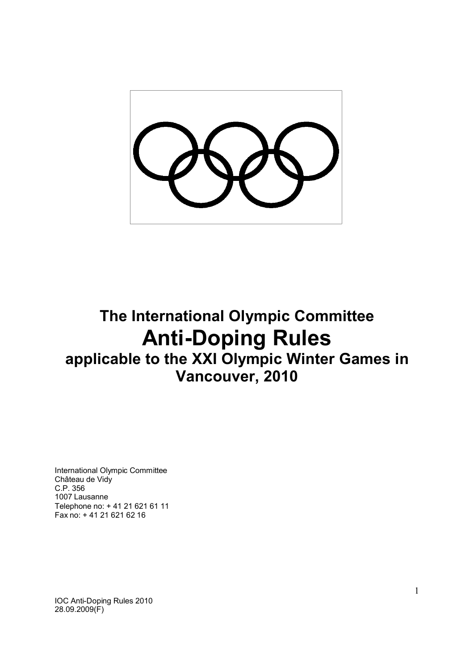

# **The International Olympic Committee Anti-Doping Rules applicable to the XXI Olympic Winter Games in Vancouver, 2010**

International Olympic Committee Château de Vidy C.P. 356 1007 Lausanne Telephone no: + 41 21 621 61 11 Fax no: + 41 21 621 62 16

IOC Anti-Doping Rules 2010 28.09.2009(F)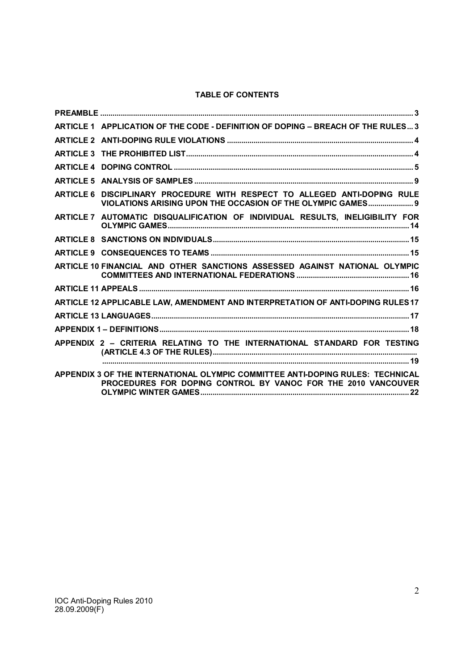# **TABLE OF CONTENTS**

| ARTICLE 1 APPLICATION OF THE CODE - DEFINITION OF DOPING - BREACH OF THE RULES 3                                                                |
|-------------------------------------------------------------------------------------------------------------------------------------------------|
|                                                                                                                                                 |
|                                                                                                                                                 |
|                                                                                                                                                 |
|                                                                                                                                                 |
| ARTICLE 6 DISCIPLINARY PROCEDURE WITH RESPECT TO ALLEGED ANTI-DOPING RULE<br>VIOLATIONS ARISING UPON THE OCCASION OF THE OLYMPIC GAMES 9        |
| ARTICLE 7 AUTOMATIC DISQUALIFICATION OF INDIVIDUAL RESULTS, INELIGIBILITY FOR                                                                   |
|                                                                                                                                                 |
|                                                                                                                                                 |
| ARTICLE 10 FINANCIAL AND OTHER SANCTIONS ASSESSED AGAINST NATIONAL OLYMPIC                                                                      |
|                                                                                                                                                 |
| ARTICLE 12 APPLICABLE LAW, AMENDMENT AND INTERPRETATION OF ANTI-DOPING RULES17                                                                  |
|                                                                                                                                                 |
|                                                                                                                                                 |
| APPENDIX 2 - CRITERIA RELATING TO THE INTERNATIONAL STANDARD FOR TESTING                                                                        |
|                                                                                                                                                 |
| APPENDIX 3 OF THE INTERNATIONAL OLYMPIC COMMITTEE ANTI-DOPING RULES: TECHNICAL<br>PROCEDURES FOR DOPING CONTROL BY VANOC FOR THE 2010 VANCOUVER |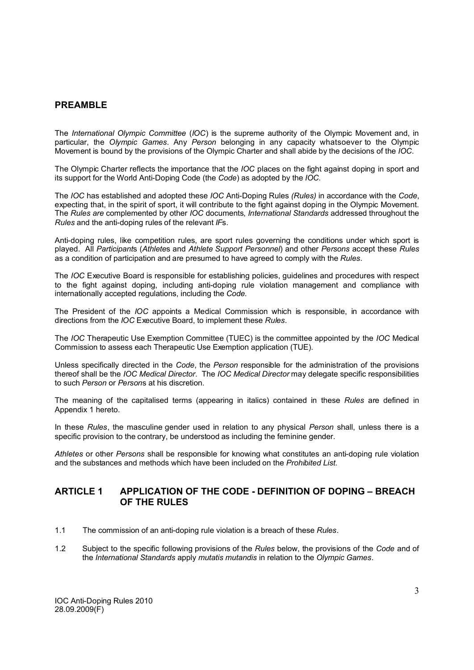# **PREAMBLE**

The *International Olympic Committee* (*IOC*) is the supreme authority of the Olympic Movement and, in particular, the *Olympic Games*. Any *Person* belonging in any capacity whatsoever to the Olympic Movement is bound by the provisions of the Olympic Charter and shall abide by the decisions of the *IOC*.

The Olympic Charter reflects the importance that the *IOC* places on the fight against doping in sport and its support for the World Anti-Doping Code (the *Code*) as adopted by the *IOC.*

The *IOC* has established and adopted these *IOC* Anti-Doping Rules *(Rules)* in accordance with the *Code*, expecting that, in the spirit of sport, it will contribute to the fight against doping in the Olympic Movement. The *Rules are* complemented by other *IOC* documents, *International Standards* addressed throughout the *Rules* and the anti-doping rules of the relevant *IF*s.

Anti-doping rules, like competition rules, are sport rules governing the conditions under which sport is played. All *Participant*s (*Athlete*s and *Athlete Support Personnel*) and other *Persons* accept these *Rules* as a condition of participation and are presumed to have agreed to comply with the *Rules*.

The *IOC* Executive Board is responsible for establishing policies, guidelines and procedures with respect to the fight against doping, including anti-doping rule violation management and compliance with internationally accepted regulations, including the *Code*.

The President of the *IOC* appoints a Medical Commission which is responsible, in accordance with directions from the *IOC* Executive Board, to implement these *Rules*.

The *IOC* Therapeutic Use Exemption Committee (TUEC) is the committee appointed by the *IOC* Medical Commission to assess each Therapeutic Use Exemption application (TUE).

Unless specifically directed in the *Code*, the *Person* responsible for the administration of the provisions thereof shall be the *IOC Medical Director*. The *IOC Medical Director* may delegate specific responsibilities to such *Person* or *Person*s at his discretion.

The meaning of the capitalised terms (appearing in italics) contained in these *Rules* are defined in Appendix 1 hereto.

In these *Rules*, the masculine gender used in relation to any physical *Person* shall, unless there is a specific provision to the contrary, be understood as including the feminine gender.

*Athletes* or other *Persons* shall be responsible for knowing what constitutes an anti-doping rule violation and the substances and methods which have been included on the *Prohibited List*.

# **ARTICLE 1 APPLICATION OF THE CODE - DEFINITION OF DOPING – BREACH OF THE RULES**

- 1.1 The commission of an anti-doping rule violation is a breach of these *Rules*.
- 1.2 Subject to the specific following provisions of the *Rules* below, the provisions of the *Code* and of the *International Standards* apply *mutatis mutandis* in relation to the *Olympic Games*.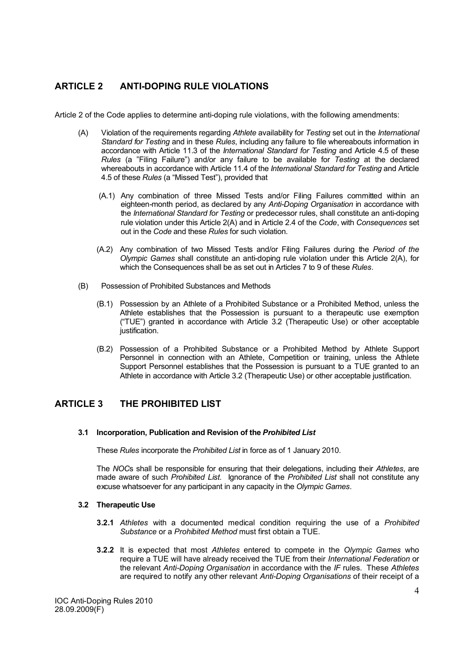# **ARTICLE 2 ANTI-DOPING RULE VIOLATIONS**

Article 2 of the Code applies to determine anti-doping rule violations, with the following amendments:

- (A) Violation of the requirements regarding *Athlete* availability for *Testing* set out in the *International Standard for Testing* and in these *Rules*, including any failure to file whereabouts information in accordance with Article 11.3 of the *International Standard for Testing* and Article 4.5 of these *Rules* (a "Filing Failure") and/or any failure to be available for *Testing* at the declared whereabouts in accordance with Article 11.4 of the *International Standard for Testing* and Article 4.5 of these *Rules* (a "Missed Test"), provided that
	- (A.1) Any combination of three Missed Tests and/or Filing Failures committed within an eighteen-month period, as declared by any *Anti-Doping Organisation* in accordance with the *International Standard for Testing* or predecessor rules, shall constitute an anti-doping rule violation under this Article 2(A) and in Article 2.4 of the *Code*, with *Consequences* set out in the *Code* and these *Rules* for such violation.
	- (A.2) Any combination of two Missed Tests and/or Filing Failures during the *Period of the Olympic Games* shall constitute an anti-doping rule violation under this Article 2(A), for which the Consequences shall be as set out in Articles 7 to 9 of these *Rules*.
- (B) Possession of Prohibited Substances and Methods
	- (B.1) Possession by an Athlete of a Prohibited Substance or a Prohibited Method, unless the Athlete establishes that the Possession is pursuant to a therapeutic use exemption ("TUE") granted in accordance with Article 3.2 (Therapeutic Use) or other acceptable justification.
	- (B.2) Possession of a Prohibited Substance or a Prohibited Method by Athlete Support Personnel in connection with an Athlete, Competition or training, unless the Athlete Support Personnel establishes that the Possession is pursuant to a TUE granted to an Athlete in accordance with Article 3.2 (Therapeutic Use) or other acceptable justification.

# **ARTICLE 3 THE PROHIBITED LIST**

# **3.1 Incorporation, Publication and Revision of the** *Prohibited List*

These *Rules* incorporate the *Prohibited List* in force as of 1 January 2010.

The *NOC*s shall be responsible for ensuring that their delegations, including their *Athletes*, are made aware of such *Prohibited List.* Ignorance of the *Prohibited List* shall not constitute any excuse whatsoever for any participant in any capacity in the *Olympic Games*.

# **3.2 Therapeutic Use**

- **3.2.1** *Athletes* with a documented medical condition requiring the use of a *Prohibited Substance* or a *Prohibited Method* must first obtain a TUE.
- **3.2.2** It is expected that most *Athletes* entered to compete in the *Olympic Games* who require a TUE will have already received the TUE from their *International Federation* or the relevant *Anti-Doping Organisation* in accordance with the *IF* rules. These *Athletes* are required to notify any other relevant *Anti-Doping Organisations* of their receipt of a

IOC Anti-Doping Rules 2010 28.09.2009(F)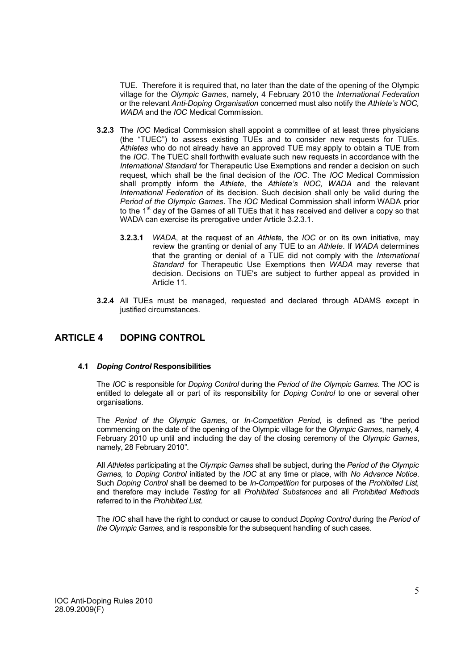TUE. Therefore it is required that, no later than the date of the opening of the Olympic village for the *Olympic Games*, namely, 4 February 2010 the *International Federation* or the relevant *Anti-Doping Organisation* concerned must also notify the *Athlete's NOC, WADA* and the *IOC* Medical Commission.

- **3.2.3** The *IOC* Medical Commission shall appoint a committee of at least three physicians (the "TUEC") to assess existing TUEs and to consider new requests for TUEs. Athletes who do not already have an approved TUE may apply to obtain a TUE from the *IOC*. The TUEC shall forthwith evaluate such new requests in accordance with the *International Standard* for Therapeutic Use Exemptions and render a decision on such request, which shall be the final decision of the *IOC*. The *IOC* Medical Commission shall promptly inform the *Athlete*, the *Athlete's NOC, WADA* and the relevant *International Federation* of its decision. Such decision shall only be valid during the *Period of the Olympic Games*. The *IOC* Medical Commission shall inform WADA prior to the 1<sup>st</sup> day of the Games of all TUEs that it has received and deliver a copy so that WADA can exercise its prerogative under Article 3.2.3.1.
	- **3.2.3.1** *WADA*, at the request of an *Athlete,* the *IOC* or on its own initiative, may review the granting or denial of any TUE to an *Athlete*. If *WADA* determines that the granting or denial of a TUE did not comply with the *International Standard* for Therapeutic Use Exemptions then *WADA* may reverse that decision. Decisions on TUE's are subject to further appeal as provided in Article 11.
- **3.2.4** All TUEs must be managed, requested and declared through ADAMS except in justified circumstances.

# **ARTICLE 4 DOPING CONTROL**

# **4.1** *Doping Control* **Responsibilities**

The *IOC* is responsible for *Doping Control* during the *Period of the Olympic Games.* The *IOC* is entitled to delegate all or part of its responsibility for *Doping Control* to one or several other organisations.

The *Period of the Olympic Games,* or *In-Competition Period,* is defined as "the period commencing on the date of the opening of the Olympic village for the *Olympic Games*, namely, 4 February 2010 up until and including the day of the closing ceremony of the *Olympic Games*, namely, 28 February 2010".

All *Athletes* participating at the *Olympic Games* shall be subject, during the *Period of the Olympic Games,* to *Doping Control* initiated by the *IOC* at any time or place, with *No Advance Notice*. Such *Doping Control* shall be deemed to be *In-Competition* for purposes of the *Prohibited List,* and therefore may include *Testing* for all *Prohibited Substances* and all *Prohibited Methods*  referred to in the *Prohibited List.*

The *IOC* shall have the right to conduct or cause to conduct *Doping Control* during the *Period of the Olympic Games,* and is responsible for the subsequent handling of such cases.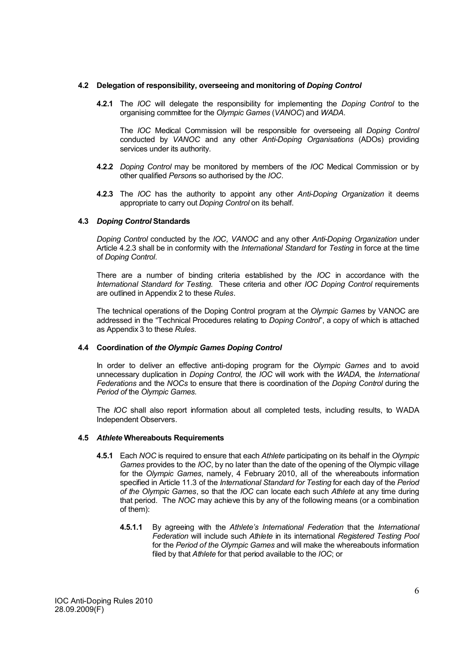## **4.2 Delegation of responsibility, overseeing and monitoring of** *Doping Control*

**4.2.1** The *IOC* will delegate the responsibility for implementing the *Doping Control* to the organising committee for the *Olympic Games* (*VANOC*) and *WADA*.

The *IOC* Medical Commission will be responsible for overseeing all *Doping Control* conducted by *VANOC* and any other *Anti-Doping Organisations* (ADOs) providing services under its authority.

- **4.2.2** *Doping Control* may be monitored by members of the *IOC* Medical Commission or by other qualified *Person*s so authorised by the *IOC*.
- **4.2.3** The *IOC* has the authority to appoint any other *Anti-Doping Organization* it deems appropriate to carry out *Doping Control* on its behalf.

#### **4.3** *Doping Control* **Standards**

*Doping Control* conducted by the *IOC, VANOC* and any other *Anti-Doping Organization* under Article 4.2.3 shall be in conformity with the *International Standard* for *Testing* in force at the time of *Doping Control*.

There are a number of binding criteria established by the *IOC* in accordance with the *International Standard for Testing.* These criteria and other *IOC Doping Control* requirements are outlined in Appendix 2 to these *Rules*.

The technical operations of the Doping Control program at the *Olympic Games* by VANOC are addressed in the "Technical Procedures relating to *Doping Control*", a copy of which is attached as Appendix 3 to these *Rules*.

# **4.4 Coordination of** *the Olympic Games Doping Control*

In order to deliver an effective anti-doping program for the *Olympic Games* and to avoid unnecessary duplication in *Doping Control,* the *IOC* will work with the *WADA,* the *International Federations* and the *NOCs* to ensure that there is coordination of the *Doping Control* during the *Period of* the *Olympic Games.* 

The *IOC* shall also report information about all completed tests, including results, to WADA Independent Observers.

#### **4.5** *Athlete* **Whereabouts Requirements**

- **4.5.1** Each *NOC* is required to ensure that each *Athlete* participating on its behalf in the *Olympic Games* provides to the *IOC*, by no later than the date of the opening of the Olympic village for the *Olympic Games*, namely, 4 February 2010, all of the whereabouts information specified in Article 11.3 of the *International Standard for Testing* for each day of the *Period of the Olympic Games*, so that the *IOC* can locate each such *Athlete* at any time during that period. The *NOC* may achieve this by any of the following means (or a combination of them):
	- **4.5.1.1** By agreeing with the *Athlete's International Federation* that the *International Federation* will include such *Athlete* in its international *Registered Testing Pool*  for the *Period of the Olympic Games* and will make the whereabouts information filed by that *Athlete* for that period available to the *IOC*; or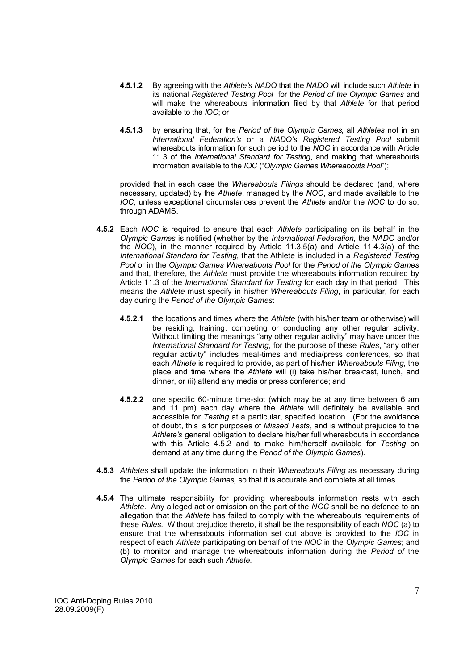- **4.5.1.2** By agreeing with the *Athlete's NADO* that the *NADO* will include such *Athlete* in its national *Registered Testing Pool* for the *Period of the Olympic Games* and will make the whereabouts information filed by that *Athlete* for that period available to the *IOC*; or
- **4.5.1.3** by ensuring that, for the *Period of the Olympic Games,* all *Athletes* not in an *International Federation's* or a *NADO's Registered Testing Pool* submit whereabouts information for such period to the *NOC* in accordance with Article 11.3 of the *International Standard for Testing*, and making that whereabouts information available to the *IOC* ("*Olympic Games Whereabouts Pool*");

provided that in each case the *Whereabouts Filings* should be declared (and, where necessary, updated) by the *Athlete*, managed by the *NOC*, and made available to the *IOC*, unless exceptional circumstances prevent the *Athlete* and/or the *NOC* to do so, through ADAMS.

- **4.5.2** Each *NOC* is required to ensure that each *Athlete* participating on its behalf in the *Olympic Games* is notified (whether by the *International Federation,* the *NADO* and/or the *NOC*), in the manner required by Article 11.3.5(a) and Article 11.4.3(a) of the *International Standard for Testing,* that the Athlete is included in a *Registered Testing Pool* or in the *Olympic Games Whereabouts Pool* for the *Period of the Olympic Games*  and that, therefore, the *Athlete* must provide the whereabouts information required by Article 11.3 of the *International Standard for Testing* for each day in that period. This means the *Athlete* must specify in his/her *Whereabouts Filing*, in particular, for each day during the *Period of the Olympic Games*:
	- **4.5.2.1** the locations and times where the *Athlete* (with his/her team or otherwise) will be residing, training, competing or conducting any other regular activity. Without limiting the meanings "any other regular activity" may have under the *International Standard for Testing*, for the purpose of these *Rules*, "any other regular activity" includes meal-times and media/press conferences, so that each *Athlete* is required to provide, as part of his/her *Whereabouts Filing,* the place and time where the *Athlete* will (i) take his/her breakfast, lunch, and dinner, or (ii) attend any media or press conference; and
	- **4.5.2.2** one specific 60-minute time-slot (which may be at any time between 6 am and 11 pm) each day where the *Athlete* will definitely be available and accessible for *Testing* at a particular, specified location. (For the avoidance of doubt, this is for purposes of *Missed Tests*, and is without prejudice to the *Athlete's* general obligation to declare his/her full whereabouts in accordance with this Article 4.5.2 and to make him/herself available for *Testing* on demand at any time during the *Period of the Olympic Games*).
- **4.5.3** *Athletes* shall update the information in their *Whereabouts Filing* as necessary during the *Period of the Olympic Games,* so that it is accurate and complete at all times.
- **4.5.4** The ultimate responsibility for providing whereabouts information rests with each *Athlete.* Any alleged act or omission on the part of the *NOC* shall be no defence to an allegation that the *Athlete* has failed to comply with the whereabouts requirements of these *Rules.* Without prejudice thereto, it shall be the responsibility of each *NOC* (a) to ensure that the whereabouts information set out above is provided to the *IOC* in respect of each *Athlete* participating on behalf of the *NOC* in the *Olympic Games*; and (b) to monitor and manage the whereabouts information during the *Period of* the *Olympic Games* for each such *Athlete.*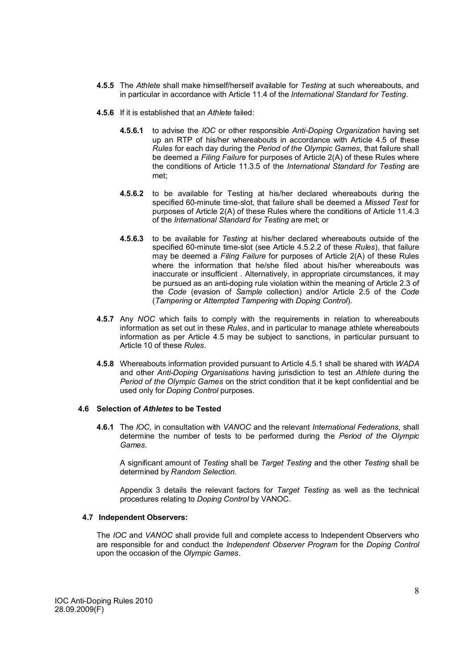- **4.5.5** The *Athlete* shall make himself/herself available for *Testing* at such whereabouts, and in particular in accordance with Article 11.4 of the *International Standard for Testing*.
- **4.5.6** If it is established that an *Athlete* failed:
	- **4.5.6.1** to advise the *IOC* or other responsible *Anti-Doping Organization* having set up an RTP of his/her whereabouts in accordance with Article 4.5 of these *Rules* for each day during the *Period of the Olympic Games*, that failure shall be deemed a *Filing Failure* for purposes of Article 2(A) of these Rules where the conditions of Article 11.3.5 of the *International Standard for Testing* are met;
	- **4.5.6.2** to be available for Testing at his/her declared whereabouts during the specified 60-minute time-slot, that failure shall be deemed a *Missed Test* for purposes of Article 2(A) of these Rules where the conditions of Article 11.4.3 of the *International Standard for Testing* are met; or
	- **4.5.6.3** to be available for *Testing* at his/her declared whereabouts outside of the specified 60-minute time-slot (see Article 4.5.2.2 of these *Rules*), that failure may be deemed a *Filing Failure* for purposes of Article 2(A) of these Rules where the information that he/she filed about his/her whereabouts was inaccurate or insufficient . Alternatively, in appropriate circumstances, it may be pursued as an anti-doping rule violation within the meaning of Article 2.3 of the *Code* (evasion of *Sample* collection) and/or Article 2.5 of the *Code*  (*Tampering* or *Attempted Tampering* with *Doping Control*).
- **4.5.7** Any *NOC* which fails to comply with the requirements in relation to whereabouts information as set out in these *Rules*, and in particular to manage athlete whereabouts information as per Article 4.5 may be subject to sanctions, in particular pursuant to Article 10 of these *Rules.*
- **4.5.8** Whereabouts information provided pursuant to Article 4.5.1 shall be shared with *WADA* and other *Anti-Doping Organisations* having jurisdiction to test an *Athlete* during the *Period of the Olympic Games* on the strict condition that it be kept confidential and be used only for *Doping Control* purposes.

#### **4.6 Selection of** *Athletes* **to be Tested**

**4.6.1** The *IOC,* in consultation with *VANOC* and the relevant *International Federations,* shall determine the number of tests to be performed during the *Period of the Olympic Games*.

A significant amount of *Testing* shall be *Target Testing* and the other *Testing* shall be determined by *Random Selection*.

Appendix 3 details the relevant factors for *Target Testing* as well as the technical procedures relating to *Doping Control* by VANOC.

# **4.7 Independent Observers:**

The *IOC* and *VANOC* shall provide full and complete access to Independent Observers who are responsible for and conduct the *Independent Observer Program* for the *Doping Control* upon the occasion of the *Olympic Games*.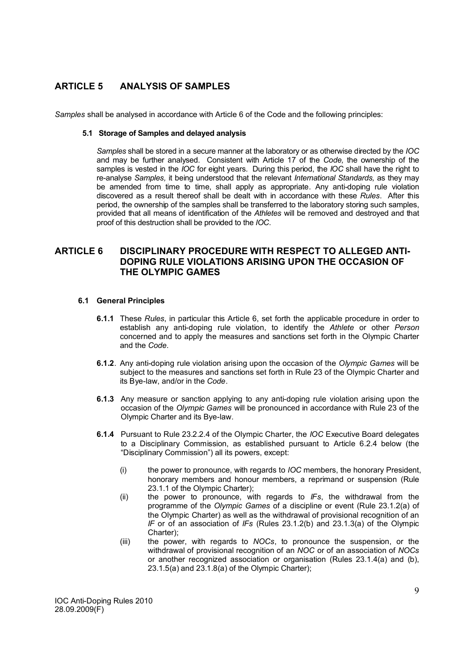# **ARTICLE 5 ANALYSIS OF SAMPLES**

*Samples* shall be analysed in accordance with Article 6 of the Code and the following principles:

## **5.1 Storage of Samples and delayed analysis**

*Samples* shall be stored in a secure manner at the laboratory or as otherwise directed by the *IOC*  and may be further analysed. Consistent with Article 17 of the *Code,* the ownership of the samples is vested in the *IOC* for eight years. During this period, the *IOC* shall have the right to re-analyse *Samples,* it being understood that the relevant *International Standards,* as they may be amended from time to time, shall apply as appropriate. Any anti-doping rule violation discovered as a result thereof shall be dealt with in accordance with these *Rules*. After this period, the ownership of the samples shall be transferred to the laboratory storing such samples, provided that all means of identification of the *Athletes* will be removed and destroyed and that proof of this destruction shall be provided to the *IOC*.

# **ARTICLE 6 DISCIPLINARY PROCEDURE WITH RESPECT TO ALLEGED ANTI-DOPING RULE VIOLATIONS ARISING UPON THE OCCASION OF THE OLYMPIC GAMES**

# **6.1 General Principles**

- **6.1.1** These *Rules*, in particular this Article 6, set forth the applicable procedure in order to establish any anti-doping rule violation, to identify the *Athlete* or other *Person* concerned and to apply the measures and sanctions set forth in the Olympic Charter and the *Code*.
- **6.1.2**. Any anti-doping rule violation arising upon the occasion of the *Olympic Games* will be subject to the measures and sanctions set forth in Rule 23 of the Olympic Charter and its Bye-law, and/or in the *Code*.
- **6.1.3** Any measure or sanction applying to any anti-doping rule violation arising upon the occasion of the *Olympic Games* will be pronounced in accordance with Rule 23 of the Olympic Charter and its Bye-law.
- **6.1.4** Pursuant to Rule 23.2.2.4 of the Olympic Charter, the *IOC* Executive Board delegates to a Disciplinary Commission, as established pursuant to Article 6.2.4 below (the "Disciplinary Commission") all its powers, except:
	- (i) the power to pronounce, with regards to *IOC* members, the honorary President, honorary members and honour members, a reprimand or suspension (Rule 23.1.1 of the Olympic Charter);
	- (ii) the power to pronounce, with regards to *IFs*, the withdrawal from the programme of the *Olympic Games* of a discipline or event (Rule 23.1.2(a) of the Olympic Charter) as well as the withdrawal of provisional recognition of an *IF* or of an association of *IFs* (Rules 23.1.2(b) and 23.1.3(a) of the Olympic Charter);
	- (iii) the power, with regards to *NOCs*, to pronounce the suspension, or the withdrawal of provisional recognition of an *NOC* or of an association of *NOCs* or another recognized association or organisation (Rules 23.1.4(a) and (b),  $23.1.5(a)$  and  $23.1.8(a)$  of the Olympic Charter);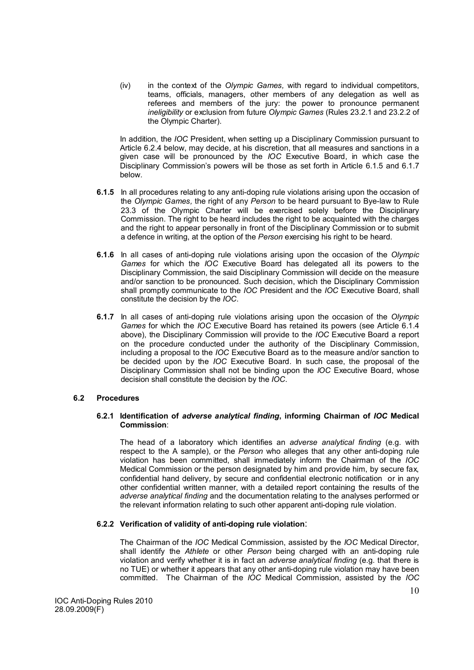(iv) in the context of the *Olympic Games,* with regard to individual competitors, teams, officials, managers, other members of any delegation as well as referees and members of the jury: the power to pronounce permanent *ineligibility* or exclusion from future *Olympic Games* (Rules 23.2.1 and 23.2.2 of the Olympic Charter).

In addition, the *IOC* President, when setting up a Disciplinary Commission pursuant to Article 6.2.4 below, may decide, at his discretion, that all measures and sanctions in a given case will be pronounced by the *IOC* Executive Board, in which case the Disciplinary Commission's powers will be those as set forth in Article 6.1.5 and 6.1.7 below.

- **6.1.5** In all procedures relating to any anti-doping rule violations arising upon the occasion of the *Olympic Games,* the right of any *Person* to be heard pursuant to Bye-law to Rule 23.3 of the Olympic Charter will be exercised solely before the Disciplinary Commission. The right to be heard includes the right to be acquainted with the charges and the right to appear personally in front of the Disciplinary Commission or to submit a defence in writing, at the option of the *Person* exercising his right to be heard.
- **6.1.6** In all cases of anti-doping rule violations arising upon the occasion of the *Olympic Games* for which the *IOC* Executive Board has delegated all its powers to the Disciplinary Commission, the said Disciplinary Commission will decide on the measure and/or sanction to be pronounced. Such decision, which the Disciplinary Commission shall promptly communicate to the *IOC* President and the *IOC* Executive Board, shall constitute the decision by the *IOC*.
- **6.1.7** In all cases of anti-doping rule violations arising upon the occasion of the *Olympic Games* for which the *IOC* Executive Board has retained its powers (see Article 6.1.4 above), the Disciplinary Commission will provide to the *IOC* Executive Board a report on the procedure conducted under the authority of the Disciplinary Commission, including a proposal to the *IOC* Executive Board as to the measure and/or sanction to be decided upon by the *IOC* Executive Board. In such case, the proposal of the Disciplinary Commission shall not be binding upon the *IOC* Executive Board, whose decision shall constitute the decision by the *IOC*.

# **6.2 Procedures**

# **6.2.1 Identification of** *adverse analytical finding***, informing Chairman of** *IOC* **Medical Commission**:

The head of a laboratory which identifies an *adverse analytical finding* (e.g. with respect to the A sample), or the *Person* who alleges that any other anti-doping rule violation has been committed, shall immediately inform the Chairman of the *IOC* Medical Commission or the person designated by him and provide him, by secure fax, confidential hand delivery, by secure and confidential electronic notification or in any other confidential written manner, with a detailed report containing the results of the *adverse analytical finding* and the documentation relating to the analyses performed or the relevant information relating to such other apparent anti-doping rule violation.

# **6.2.2 Verification of validity of anti-doping rule violation**:

The Chairman of the *IOC* Medical Commission, assisted by the *IOC* Medical Director, shall identify the *Athlete* or other *Person* being charged with an anti-doping rule violation and verify whether it is in fact an *adverse analytical finding* (e.g. that there is no TUE) or whether it appears that any other anti-doping rule violation may have been committed. The Chairman of the *IOC* Medical Commission, assisted by the *IOC*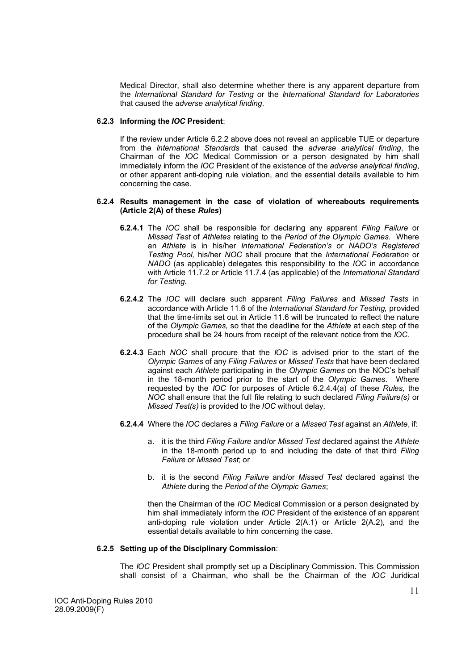Medical Director, shall also determine whether there is any apparent departure from the *International Standard for Testing* or the *International Standard for Laboratories* that caused the *adverse analytical finding*.

#### **6.2.3 Informing the** *IOC* **President**:

If the review under Article 6.2.2 above does not reveal an applicable TUE or departure from the *International Standards* that caused the *adverse analytical finding*, the Chairman of the *IOC* Medical Commission or a person designated by him shall immediately inform the *IOC* President of the existence of the *adverse analytical finding*, or other apparent anti-doping rule violation, and the essential details available to him concerning the case.

#### **6.2.4 Results management in the case of violation of whereabouts requirements (Article 2(A) of these** *Rules***)**

- **6.2.4.1** The *IOC* shall be responsible for declaring any apparent *Filing Failure* or *Missed Test* of *Athletes* relating to the *Period of the Olympic Games.* Where an *Athlete* is in his/her *International Federation's* or *NADO's Registered Testing Pool,* his/her *NOC* shall procure that the *International Federation* or *NADO* (as applicable) delegates this responsibility to the *IOC* in accordance with Article 11.7.2 or Article 11.7.4 (as applicable) of the *International Standard for Testing.*
- **6.2.4.2** The *IOC* will declare such apparent *Filing Failures* and *Missed Tests* in accordance with Article 11.6 of the *International Standard for Testing,* provided that the time-limits set out in Article 11.6 will be truncated to reflect the nature of the *Olympic Games,* so that the deadline for the *Athlete* at each step of the procedure shall be 24 hours from receipt of the relevant notice from the *IOC*.
- **6.2.4.3** Each *NOC* shall procure that the *IOC* is advised prior to the start of the *Olympic Games* of any *Filing Failures* or *Missed Tests* that have been declared against each *Athlete* participating in the *Olympic Games* on the NOC's behalf in the 18-month period prior to the start of the *Olympic Games.* Where requested by the *IOC* for purposes of Article 6.2.4.4(a) of these *Rules,* the *NOC* shall ensure that the full file relating to such declared *Filing Failure(s)* or *Missed Test(s)* is provided to the *IOC* without delay.
- **6.2.4.4** Where the *IOC* declares a *Filing Failure* or a *Missed Test* against an *Athlete*, if:
	- a. it is the third *Filing Failure* and/or *Missed Test* declared against the *Athlete*  in the 18-month period up to and including the date of that third *Filing Failure* or *Missed Test*; or
	- b. it is the second *Filing Failure* and/or *Missed Test* declared against the *Athlete* during the *Period of the Olympic Games*;

then the Chairman of the *IOC* Medical Commission or a person designated by him shall immediately inform the *IOC* President of the existence of an apparent anti-doping rule violation under Article 2(A.1) or Article 2(A.2), and the essential details available to him concerning the case.

# **6.2.5 Setting up of the Disciplinary Commission**:

The *IOC* President shall promptly set up a Disciplinary Commission. This Commission shall consist of a Chairman, who shall be the Chairman of the *IOC* Juridical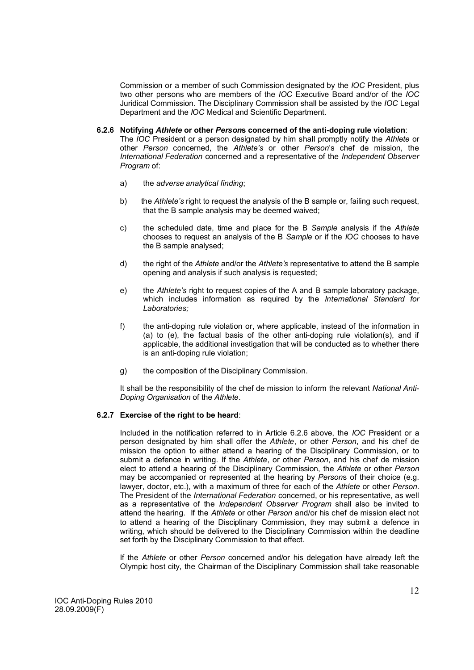Commission or a member of such Commission designated by the *IOC* President, plus two other persons who are members of the *IOC* Executive Board and/or of the *IOC* Juridical Commission. The Disciplinary Commission shall be assisted by the *IOC* Legal Department and the *IOC* Medical and Scientific Department.

- **6.2.6 Notifying** *Athlete* **or other** *Person***s concerned of the anti-doping rule violation**: The *IOC* President or a person designated by him shall promptly notify the *Athlete* or other *Person* concerned, the *Athlete's* or other *Person*'s chef de mission, the *International Federation* concerned and a representative of the *Independent Observer Program* of:
	- a) the *adverse analytical finding*;
	- b) the *Athlete's* right to request the analysis of the B sample or, failing such request, that the B sample analysis may be deemed waived;
	- c) the scheduled date, time and place for the B *Sample* analysis if the *Athlete* chooses to request an analysis of the B *Sample* or if the *IOC* chooses to have the B sample analysed;
	- d) the right of the *Athlete* and/or the *Athlete's* representative to attend the B sample opening and analysis if such analysis is requested;
	- e) the *Athlete's* right to request copies of the A and B sample laboratory package, which includes information as required by the *International Standard for Laboratories;*
	- f) the anti-doping rule violation or, where applicable, instead of the information in (a) to (e), the factual basis of the other anti-doping rule violation(s), and if applicable, the additional investigation that will be conducted as to whether there is an anti-doping rule violation;
	- g) the composition of the Disciplinary Commission.

It shall be the responsibility of the chef de mission to inform the relevant *National Anti-Doping Organisation* of the *Athlete*.

# **6.2.7 Exercise of the right to be heard**:

Included in the notification referred to in Article 6.2.6 above, the *IOC* President or a person designated by him shall offer the *Athlete*, or other *Person*, and his chef de mission the option to either attend a hearing of the Disciplinary Commission, or to submit a defence in writing. If the *Athlete*, or other *Person*, and his chef de mission elect to attend a hearing of the Disciplinary Commission, the *Athlete* or other *Person* may be accompanied or represented at the hearing by *Person*s of their choice (e.g. lawyer, doctor, etc.), with a maximum of three for each of the *Athlete* or other *Person*. The President of the *International Federation* concerned, or his representative, as well as a representative of the *Independent Observer Program* shall also be invited to attend the hearing. If the *Athlete* or other *Person* and/or his chef de mission elect not to attend a hearing of the Disciplinary Commission, they may submit a defence in writing, which should be delivered to the Disciplinary Commission within the deadline set forth by the Disciplinary Commission to that effect.

If the *Athlete* or other *Person* concerned and/or his delegation have already left the Olympic host city, the Chairman of the Disciplinary Commission shall take reasonable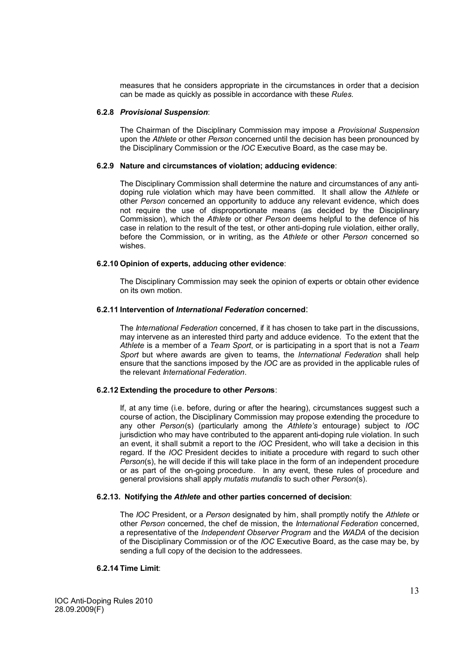measures that he considers appropriate in the circumstances in order that a decision can be made as quickly as possible in accordance with these *Rules.*

#### **6.2.8** *Provisional Suspension*:

The Chairman of the Disciplinary Commission may impose a *Provisional Suspension* upon the *Athlete* or other *Person* concerned until the decision has been pronounced by the Disciplinary Commission or the *IOC* Executive Board, as the case may be.

# **6.2.9 Nature and circumstances of violation; adducing evidence**:

The Disciplinary Commission shall determine the nature and circumstances of any antidoping rule violation which may have been committed. It shall allow the *Athlete* or other *Person* concerned an opportunity to adduce any relevant evidence, which does not require the use of disproportionate means (as decided by the Disciplinary Commission), which the *Athlete* or other *Person* deems helpful to the defence of his case in relation to the result of the test, or other anti-doping rule violation, either orally, before the Commission, or in writing, as the *Athlete* or other *Person* concerned so wishes.

# **6.2.10 Opinion of experts, adducing other evidence**:

The Disciplinary Commission may seek the opinion of experts or obtain other evidence on its own motion.

# **6.2.11 Intervention of** *International Federation* **concerned**:

The *International Federation* concerned, if it has chosen to take part in the discussions, may intervene as an interested third party and adduce evidence. To the extent that the *Athlete* is a member of a *Team Sport*, or is participating in a sport that is not a *Team Sport* but where awards are given to teams, the *International Federation* shall help ensure that the sanctions imposed by the *IOC* are as provided in the applicable rules of the relevant *International Federation*.

## **6.2.12 Extending the procedure to other** *Person***s**:

If, at any time (i.e. before, during or after the hearing), circumstances suggest such a course of action, the Disciplinary Commission may propose extending the procedure to any other *Person*(s) (particularly among the *Athlete's* entourage) subject to *IOC* jurisdiction who may have contributed to the apparent anti-doping rule violation. In such an event, it shall submit a report to the *IOC* President, who will take a decision in this regard. If the *IOC* President decides to initiate a procedure with regard to such other *Person*(s), he will decide if this will take place in the form of an independent procedure or as part of the on-going procedure. In any event, these rules of procedure and general provisions shall apply *mutatis mutandis* to such other *Person*(s).

#### **6.2.13. Notifying the** *Athlete* **and other parties concerned of decision**:

The *IOC* President, or a *Person* designated by him, shall promptly notify the *Athlete* or other *Person* concerned, the chef de mission, the *International Federation* concerned, a representative of the *Independent Observer Program* and the *WADA* of the decision of the Disciplinary Commission or of the *IOC* Executive Board, as the case may be, by sending a full copy of the decision to the addressees.

#### **6.2.14 Time Limit**:

IOC Anti-Doping Rules 2010 28.09.2009(F)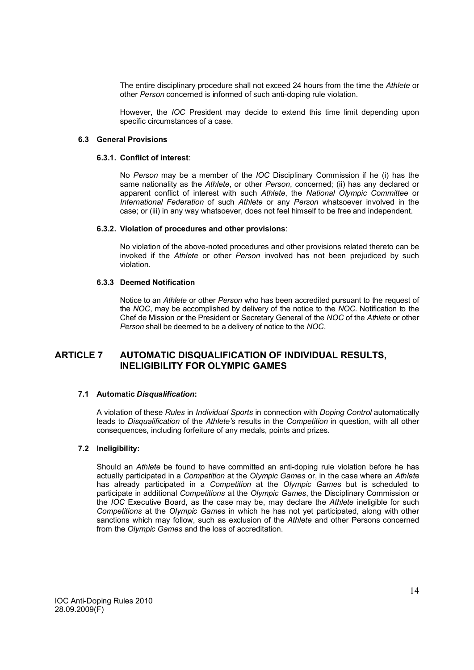The entire disciplinary procedure shall not exceed 24 hours from the time the *Athlete* or other *Person* concerned is informed of such anti-doping rule violation.

However, the *IOC* President may decide to extend this time limit depending upon specific circumstances of a case*.*

#### **6.3 General Provisions**

#### **6.3.1. Conflict of interest**:

No *Person* may be a member of the *IOC* Disciplinary Commission if he (i) has the same nationality as the *Athlete*, or other *Person*, concerned; (ii) has any declared or apparent conflict of interest with such *Athlete*, the *National Olympic Committee* or *International Federation* of such *Athlete* or any *Person* whatsoever involved in the case; or (iii) in any way whatsoever, does not feel himself to be free and independent.

#### **6.3.2. Violation of procedures and other provisions**:

No violation of the above-noted procedures and other provisions related thereto can be invoked if the *Athlete* or other *Person* involved has not been prejudiced by such violation.

# **6.3.3 Deemed Notification**

Notice to an *Athlete* or other *Person* who has been accredited pursuant to the request of the *NOC*, may be accomplished by delivery of the notice to the *NOC*. Notification to the Chef de Mission or the President or Secretary General of the *NOC* of the *Athlete* or other *Person* shall be deemed to be a delivery of notice to the *NOC*.

# **ARTICLE 7 AUTOMATIC DISQUALIFICATION OF INDIVIDUAL RESULTS, INELIGIBILITY FOR OLYMPIC GAMES**

# **7.1 Automatic** *Disqualification***:**

A violation of these *Rules* in *Individual Sports* in connection with *Doping Control* automatically leads to *Disqualification* of the *Athlete's* results in the *Competition* in question, with all other consequences, including forfeiture of any medals, points and prizes.

# **7.2 Ineligibility:**

Should an *Athlete* be found to have committed an anti-doping rule violation before he has actually participated in a *Competition* at the *Olympic Games* or, in the case where an *Athlete* has already participated in a *Competition* at the *Olympic Games* but is scheduled to participate in additional *Competitions* at the *Olympic Games*, the Disciplinary Commission or the *IOC* Executive Board, as the case may be, may declare the *Athlete* ineligible for such *Competitions* at the *Olympic Games* in which he has not yet participated, along with other sanctions which may follow, such as exclusion of the *Athlete* and other Persons concerned from the *Olympic Games* and the loss of accreditation.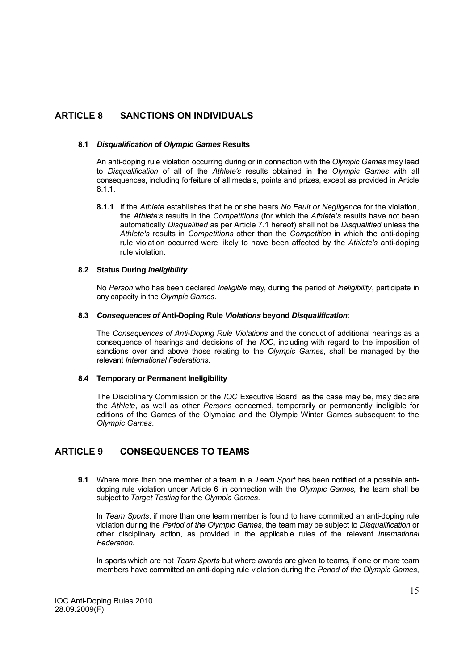# **ARTICLE 8 SANCTIONS ON INDIVIDUALS**

# **8.1** *Disqualification* **of** *Olympic Games* **Results**

An anti-doping rule violation occurring during or in connection with the *Olympic Games* may lead to *Disqualification* of all of the *Athlete's* results obtained in the *Olympic Games* with all consequences, including forfeiture of all medals, points and prizes, except as provided in Article 8.1.1.

**8.1.1** If the *Athlete* establishes that he or she bears *No Fault or Negligence* for the violation, the *Athlete's* results in the *Competitions* (for which the *Athlete's* results have not been automatically *Disqualified* as per Article 7.1 hereof) shall not be *Disqualified* unless the *Athlete's* results in *Competitions* other than the *Competition* in which the anti-doping rule violation occurred were likely to have been affected by the *Athlete's* anti-doping rule violation.

# **8.2 Status During** *Ineligibility*

No *Person* who has been declared *Ineligible* may, during the period of *Ineligibility*, participate in any capacity in the *Olympic Games*.

# **8.3** *Consequences of* **Anti-Doping Rule** *Violations* **beyond** *Disqualification*:

The *Consequences of Anti-Doping Rule Violations* and the conduct of additional hearings as a consequence of hearings and decisions of the *IOC*, including with regard to the imposition of sanctions over and above those relating to the *Olympic Games*, shall be managed by the relevant *International Federations*.

# **8.4 Temporary or Permanent Ineligibility**

The Disciplinary Commission or the *IOC* Executive Board, as the case may be, may declare the *Athlete*, as well as other *Person*s concerned, temporarily or permanently ineligible for editions of the Games of the Olympiad and the Olympic Winter Games subsequent to the *Olympic Games*.

# **ARTICLE 9 CONSEQUENCES TO TEAMS**

**9.1** Where more than one member of a team in a *Team Sport* has been notified of a possible antidoping rule violation under Article 6 in connection with the *Olympic Games,* the team shall be subject to *Target Testing* for the *Olympic Games*.

In *Team Sports*, if more than one team member is found to have committed an anti-doping rule violation during the *Period of the Olympic Games*, the team may be subject to *Disqualification* or other disciplinary action, as provided in the applicable rules of the relevant *International Federation*.

In sports which are not *Team Sports* but where awards are given to teams, if one or more team members have committed an anti-doping rule violation during the *Period of the Olympic Games*,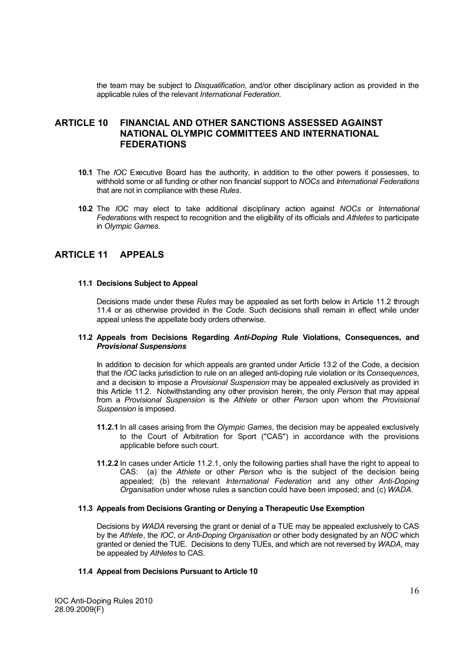the team may be subject to *Disqualification*, and/or other disciplinary action as provided in the applicable rules of the relevant *International Federation*.

# **ARTICLE 10 FINANCIAL AND OTHER SANCTIONS ASSESSED AGAINST NATIONAL OLYMPIC COMMITTEES AND INTERNATIONAL FEDERATIONS**

- **10.1** The *IOC* Executive Board has the authority, in addition to the other powers it possesses, to withhold some or all funding or other non financial support to *NOCs* and *International Federations*  that are not in compliance with these *Rules*.
- **10.2** The *IOC* may elect to take additional disciplinary action against *NOCs* or *International Federations* with respect to recognition and the eligibility of its officials and *Athletes* to participate in *Olympic Games*.

# **ARTICLE 11 APPEALS**

#### **11.1 Decisions Subject to Appeal**

Decisions made under these *Rules* may be appealed as set forth below in Article 11.2 through 11.4 or as otherwise provided in the *Code*. Such decisions shall remain in effect while under appeal unless the appellate body orders otherwise.

## **11.2 Appeals from Decisions Regarding** *Anti-Doping* **Rule Violations, Consequences, and**  *Provisional Suspensions*

In addition to decision for which appeals are granted under Article 13.2 of the Code, a decision that the *IOC* lacks jurisdiction to rule on an alleged anti-doping rule violation or its *Consequences*, and a decision to impose a *Provisional Suspension* may be appealed exclusively as provided in this Article 11.2. Notwithstanding any other provision herein, the only *Person* that may appeal from a *Provisional Suspension* is the *Athlete* or other *Person* upon whom the *Provisional Suspension* is imposed.

- **11.2.1** In all cases arising from the *Olympic Games*, the decision may be appealed exclusively to the Court of Arbitration for Sport ("CAS") in accordance with the provisions applicable before such court.
- **11.2.2** In cases under Article 11.2.1, only the following parties shall have the right to appeal to CAS: (a) the *Athlete* or other *Person* who is the subject of the decision being appealed; (b) the relevant *International Federation* and any other *Anti-Doping Organisation* under whose rules a sanction could have been imposed; and (c) *WADA*.

#### **11.3 Appeals from Decisions Granting or Denying a Therapeutic Use Exemption**

Decisions by *WADA* reversing the grant or denial of a TUE may be appealed exclusively to CAS by the *Athlete*, the *IOC*, or *Anti-Doping Organisation* or other body designated by an *NOC* which granted or denied the TUE. Decisions to deny TUEs, and which are not reversed by *WADA*, may be appealed by *Athletes* to CAS.

# **11.4 Appeal from Decisions Pursuant to Article 10**

IOC Anti-Doping Rules 2010 28.09.2009(F)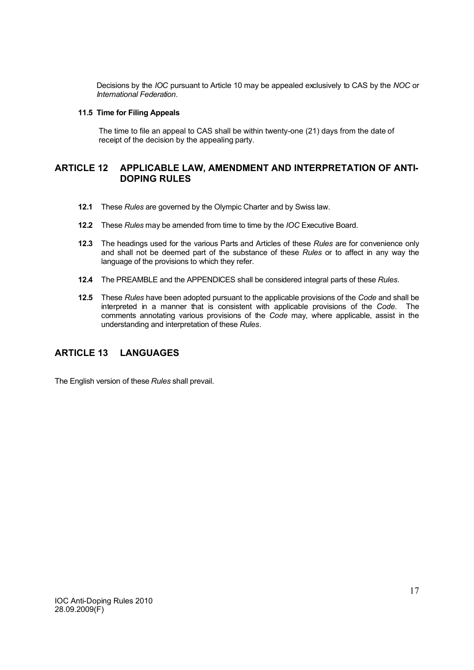Decisions by the *IOC* pursuant to Article 10 may be appealed exclusively to CAS by the *NOC* or *International Federation*.

#### **11.5 Time for Filing Appeals**

The time to file an appeal to CAS shall be within twenty-one (21) days from the date of receipt of the decision by the appealing party.

# **ARTICLE 12 APPLICABLE LAW, AMENDMENT AND INTERPRETATION OF ANTI-DOPING RULES**

- **12.1** These *Rules* are governed by the Olympic Charter and by Swiss law.
- **12.2** These *Rules* may be amended from time to time by the *IOC* Executive Board.
- **12.3** The headings used for the various Parts and Articles of these *Rules* are for convenience only and shall not be deemed part of the substance of these *Rules* or to affect in any way the language of the provisions to which they refer.
- **12.4** The PREAMBLE and the APPENDICES shall be considered integral parts of these *Rules*.
- **12.5** These *Rules* have been adopted pursuant to the applicable provisions of the *Code* and shall be interpreted in a manner that is consistent with applicable provisions of the *Code*. The comments annotating various provisions of the *Code* may, where applicable, assist in the understanding and interpretation of these *Rules*.

# **ARTICLE 13 LANGUAGES**

The English version of these *Rules* shall prevail.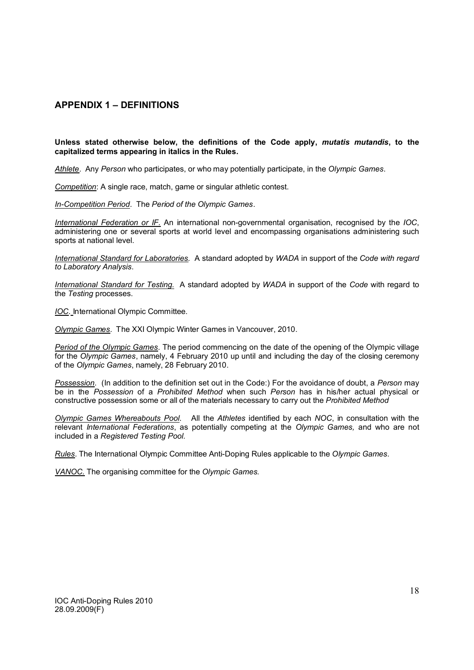# **APPENDIX 1 – DEFINITIONS**

# **Unless stated otherwise below, the definitions of the Code apply,** *mutatis mutandis***, to the capitalized terms appearing in italics in the Rules.**

*Athlete*. Any *Person* who participates, or who may potentially participate, in the *Olympic Games*.

*Competition*: A single race, match, game or singular athletic contest.

*In-Competition Period*. The *Period of the Olympic Games*.

*International Federation or IF*. An international non-governmental organisation, recognised by the *IOC*, administering one or several sports at world level and encompassing organisations administering such sports at national level.

*International Standard for Laboratories.* A standard adopted by *WADA* in support of the *Code with regard to Laboratory Analysis*.

*International Standard for Testing.* A standard adopted by *WADA* in support of the *Code* with regard to the *Testing* processes.

*IOC.* International Olympic Committee.

*Olympic Games*. The XXI Olympic Winter Games in Vancouver, 2010.

*Period of the Olympic Games*. The period commencing on the date of the opening of the Olympic village for the *Olympic Games*, namely, 4 February 2010 up until and including the day of the closing ceremony of the *Olympic Games*, namely, 28 February 2010.

*Possession*. (In addition to the definition set out in the Code:) For the avoidance of doubt, a *Person* may be in the *Possession* of a *Prohibited Method* when such *Person* has in his/her actual physical or constructive possession some or all of the materials necessary to carry out the *Prohibited Method*

*Olympic Games Whereabouts Pool*. All the *Athletes* identified by each *NOC*, in consultation with the relevant *International Federations*, as potentially competing at the *Olympic Games,* and who are not included in a *Registered Testing Pool.*

*Rules*. The International Olympic Committee Anti-Doping Rules applicable to the *Olympic Games*.

*VANOC.* The organising committee for the *Olympic Games.*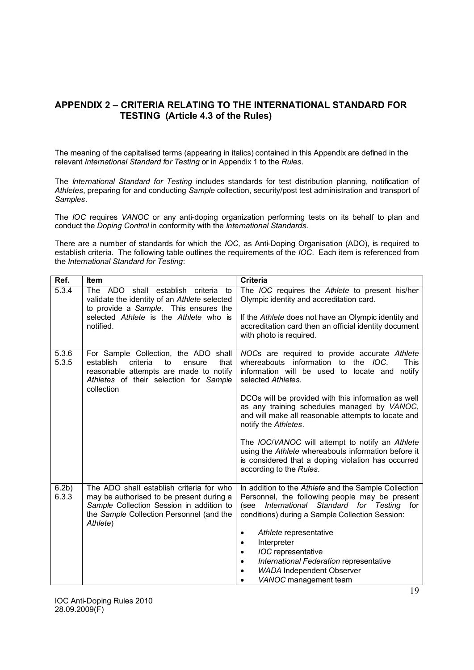# **APPENDIX 2 – CRITERIA RELATING TO THE INTERNATIONAL STANDARD FOR TESTING (Article 4.3 of the Rules)**

The meaning of the capitalised terms (appearing in italics) contained in this Appendix are defined in the relevant *International Standard for Testing* or in Appendix 1 to the *Rules*.

The *International Standard for Testing* includes standards for test distribution planning, notification of *Athletes*, preparing for and conducting *Sample* collection, security/post test administration and transport of *Samples*.

The *IOC* requires *VANOC* or any anti-doping organization performing tests on its behalf to plan and conduct the *Doping Control* in conformity with the *International Standards*.

There are a number of standards for which the *IOC,* as Anti-Doping Organisation (ADO), is required to establish criteria. The following table outlines the requirements of the *IOC*. Each item is referenced from the *International Standard for Testing*:

| Ref.                      | <b>Item</b>                                                                                                                                                                              | <b>Criteria</b>                                                                                                                                                                                                                                |
|---------------------------|------------------------------------------------------------------------------------------------------------------------------------------------------------------------------------------|------------------------------------------------------------------------------------------------------------------------------------------------------------------------------------------------------------------------------------------------|
| 5.3.4                     | The ADO shall establish criteria<br>to<br>validate the identity of an Athlete selected<br>to provide a Sample. This ensures the<br>selected Athlete is the Athlete who is<br>notified.   | The <i>IOC</i> requires the Athlete to present his/her<br>Olympic identity and accreditation card.<br>If the Athlete does not have an Olympic identity and<br>accreditation card then an official identity document<br>with photo is required. |
|                           |                                                                                                                                                                                          |                                                                                                                                                                                                                                                |
| 5.3.6<br>5.3.5            | For Sample Collection, the ADO shall<br>establish<br>criteria<br>to<br>that<br>ensure<br>reasonable attempts are made to notify<br>Athletes of their selection for Sample<br>collection  | NOCs are required to provide accurate Athlete<br>whereabouts information to the IOC.<br><b>This</b><br>information will be used to locate and notify<br>selected Athletes.                                                                     |
|                           |                                                                                                                                                                                          | DCOs will be provided with this information as well<br>as any training schedules managed by VANOC,<br>and will make all reasonable attempts to locate and<br>notify the Athletes.                                                              |
|                           |                                                                                                                                                                                          | The <i>IOC/VANOC</i> will attempt to notify an Athlete<br>using the Athlete whereabouts information before it<br>is considered that a doping violation has occurred<br>according to the Rules.                                                 |
| 6.2 <sub>b</sub><br>6.3.3 | The ADO shall establish criteria for who<br>may be authorised to be present during a<br>Sample Collection Session in addition to<br>the Sample Collection Personnel (and the<br>Athlete) | In addition to the Athlete and the Sample Collection<br>Personnel, the following people may be present<br>(see International Standard for Testing for<br>conditions) during a Sample Collection Session:                                       |
|                           |                                                                                                                                                                                          | Athlete representative<br>٠                                                                                                                                                                                                                    |
|                           |                                                                                                                                                                                          | Interpreter<br>٠                                                                                                                                                                                                                               |
|                           |                                                                                                                                                                                          | <b>IOC</b> representative<br>$\bullet$                                                                                                                                                                                                         |
|                           |                                                                                                                                                                                          | International Federation representative<br>$\bullet$<br><b>WADA Independent Observer</b><br>٠                                                                                                                                                  |
|                           |                                                                                                                                                                                          | VANOC management team                                                                                                                                                                                                                          |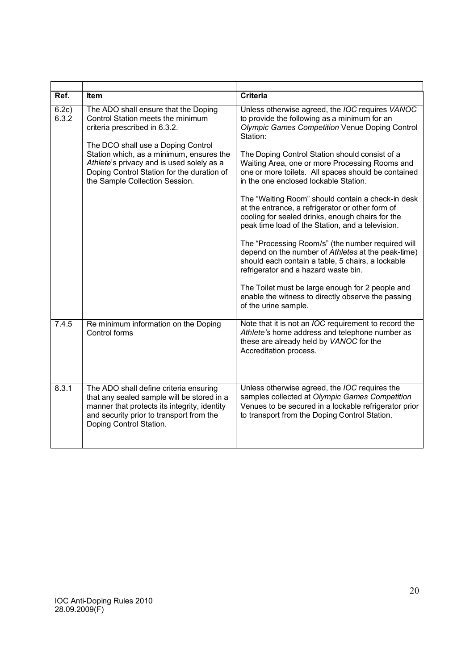| Ref.           | <b>Item</b>                                                                                                                                                                                                                                                                                                               | <b>Criteria</b>                                                                                                                                                                                                                                                                                                                                                                                                                                                                                                                                                                           |
|----------------|---------------------------------------------------------------------------------------------------------------------------------------------------------------------------------------------------------------------------------------------------------------------------------------------------------------------------|-------------------------------------------------------------------------------------------------------------------------------------------------------------------------------------------------------------------------------------------------------------------------------------------------------------------------------------------------------------------------------------------------------------------------------------------------------------------------------------------------------------------------------------------------------------------------------------------|
| 6.2c)<br>6.3.2 | The ADO shall ensure that the Doping<br>Control Station meets the minimum<br>criteria prescribed in 6.3.2.<br>The DCO shall use a Doping Control<br>Station which, as a minimum, ensures the<br>Athlete's privacy and is used solely as a<br>Doping Control Station for the duration of<br>the Sample Collection Session. | Unless otherwise agreed, the <i>IOC</i> requires VANOC<br>to provide the following as a minimum for an<br>Olympic Games Competition Venue Doping Control<br>Station:<br>The Doping Control Station should consist of a<br>Waiting Area, one or more Processing Rooms and<br>one or more toilets. All spaces should be contained<br>in the one enclosed lockable Station.<br>The "Waiting Room" should contain a check-in desk<br>at the entrance, a refrigerator or other form of<br>cooling for sealed drinks, enough chairs for the<br>peak time load of the Station, and a television. |
|                |                                                                                                                                                                                                                                                                                                                           | The "Processing Room/s" (the number required will<br>depend on the number of Athletes at the peak-time)<br>should each contain a table, 5 chairs, a lockable<br>refrigerator and a hazard waste bin.<br>The Toilet must be large enough for 2 people and<br>enable the witness to directly observe the passing<br>of the urine sample.                                                                                                                                                                                                                                                    |
| 7.4.5          | Re minimum information on the Doping<br>Control forms                                                                                                                                                                                                                                                                     | Note that it is not an <i>IOC</i> requirement to record the<br>Athlete's home address and telephone number as<br>these are already held by VANOC for the<br>Accreditation process.                                                                                                                                                                                                                                                                                                                                                                                                        |
| 8.3.1          | The ADO shall define criteria ensuring<br>that any sealed sample will be stored in a<br>manner that protects its integrity, identity<br>and security prior to transport from the<br>Doping Control Station.                                                                                                               | Unless otherwise agreed, the <i>IOC</i> requires the<br>samples collected at Olympic Games Competition<br>Venues to be secured in a lockable refrigerator prior<br>to transport from the Doping Control Station.                                                                                                                                                                                                                                                                                                                                                                          |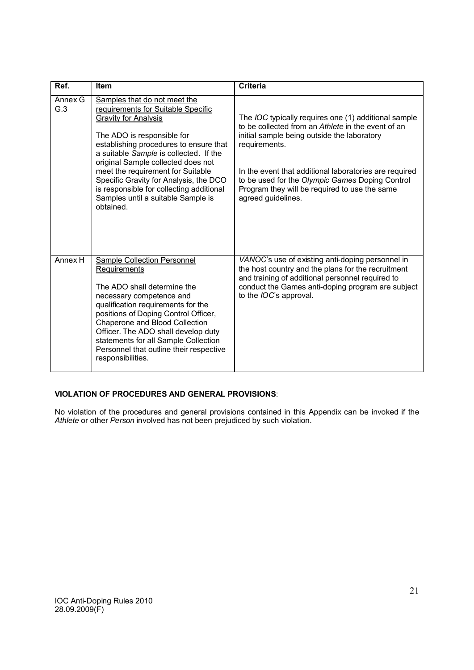| Ref.           | <b>Item</b>                                                                                                                                                                                                                                                                                                                                                                                                                             | <b>Criteria</b>                                                                                                                                                                                                                                                                                                                                                       |
|----------------|-----------------------------------------------------------------------------------------------------------------------------------------------------------------------------------------------------------------------------------------------------------------------------------------------------------------------------------------------------------------------------------------------------------------------------------------|-----------------------------------------------------------------------------------------------------------------------------------------------------------------------------------------------------------------------------------------------------------------------------------------------------------------------------------------------------------------------|
| Annex G<br>G.3 | Samples that do not meet the<br>requirements for Suitable Specific<br><b>Gravity for Analysis</b><br>The ADO is responsible for<br>establishing procedures to ensure that<br>a suitable Sample is collected. If the<br>original Sample collected does not<br>meet the requirement for Suitable<br>Specific Gravity for Analysis, the DCO<br>is responsible for collecting additional<br>Samples until a suitable Sample is<br>obtained. | The <i>IOC</i> typically requires one (1) additional sample<br>to be collected from an Athlete in the event of an<br>initial sample being outside the laboratory<br>requirements.<br>In the event that additional laboratories are required<br>to be used for the Olympic Games Doping Control<br>Program they will be required to use the same<br>agreed guidelines. |
| Annex H        | Sample Collection Personnel<br><b>Requirements</b><br>The ADO shall determine the<br>necessary competence and<br>qualification requirements for the<br>positions of Doping Control Officer,<br>Chaperone and Blood Collection<br>Officer. The ADO shall develop duty<br>statements for all Sample Collection<br>Personnel that outline their respective<br>responsibilities.                                                            | VANOC's use of existing anti-doping personnel in<br>the host country and the plans for the recruitment<br>and training of additional personnel required to<br>conduct the Games anti-doping program are subject<br>to the <i>IOC</i> 's approval.                                                                                                                     |

# **VIOLATION OF PROCEDURES AND GENERAL PROVISIONS**:

No violation of the procedures and general provisions contained in this Appendix can be invoked if the *Athlete* or other *Person* involved has not been prejudiced by such violation.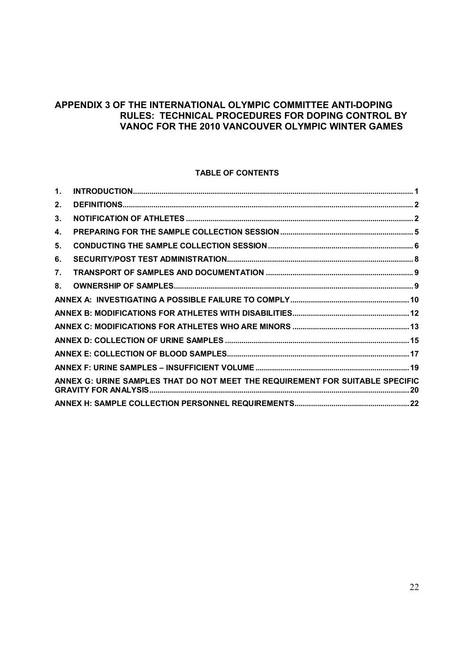# **APPENDIX 3 OF THE INTERNATIONAL OLYMPIC COMMITTEE ANTI-DOPING RULES: TECHNICAL PROCEDURES FOR DOPING CONTROL BY VANOC FOR THE 2010 VANCOUVER OLYMPIC WINTER GAMES**

# **TABLE OF CONTENTS**

| $\mathbf{1}$ . |                                                                               |  |
|----------------|-------------------------------------------------------------------------------|--|
| 2.             |                                                                               |  |
| 3.             |                                                                               |  |
| 4.             |                                                                               |  |
| 5.             |                                                                               |  |
| 6.             |                                                                               |  |
| 7.             |                                                                               |  |
| 8.             |                                                                               |  |
|                |                                                                               |  |
|                |                                                                               |  |
|                |                                                                               |  |
|                |                                                                               |  |
|                |                                                                               |  |
|                |                                                                               |  |
|                | ANNEX G: URINE SAMPLES THAT DO NOT MEET THE REQUIREMENT FOR SUITABLE SPECIFIC |  |
|                |                                                                               |  |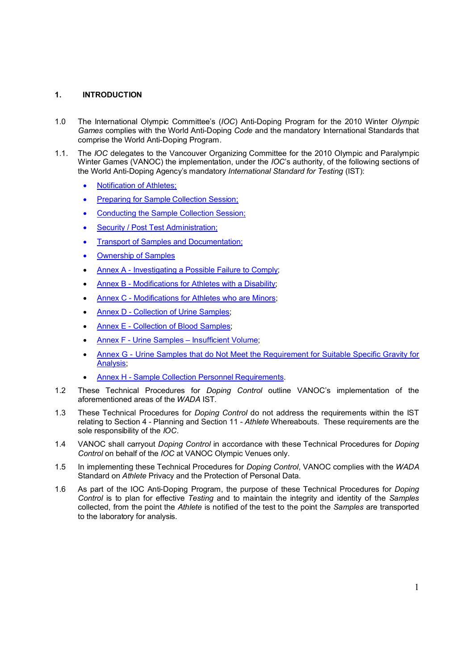# **1. INTRODUCTION**

- 1.0 The International Olympic Committee's (*IOC*) Anti-Doping Program for the 2010 Winter *Olympic Games* complies with the World Anti-Doping *Code* and the mandatory International Standards that comprise the World Anti-Doping Program.
- 1.1. The *IOC* delegates to the Vancouver Organizing Committee for the 2010 Olympic and Paralympic Winter Games (VANOC) the implementation, under the *IOC*'s authority, of the following sections of the World Anti-Doping Agency's mandatory *International Standard for Testing* (IST):
	- Notification of Athletes:
	- Preparing for Sample Collection Session;
	- Conducting the Sample Collection Session;
	- Security / Post Test Administration;
	- Transport of Samples and Documentation;
	- Ownership of Samples
	- Annex A Investigating a Possible Failure to Comply;
	- Annex B Modifications for Athletes with a Disability;
	- Annex C Modifications for Athletes who are Minors;
	- Annex D Collection of Urine Samples;
	- Annex E Collection of Blood Samples;
	- Annex F Urine Samples Insufficient Volume;
	- Annex G Urine Samples that do Not Meet the Requirement for Suitable Specific Gravity for Analysis;
	- Annex H Sample Collection Personnel Requirements.
- 1.2 These Technical Procedures for *Doping Control* outline VANOC's implementation of the aforementioned areas of the *WADA* IST.
- 1.3 These Technical Procedures for *Doping Control* do not address the requirements within the IST relating to Section 4 - Planning and Section 11 - *Athlete* Whereabouts. These requirements are the sole responsibility of the *IOC*.
- 1.4 VANOC shall carryout *Doping Control* in accordance with these Technical Procedures for *Doping Control* on behalf of the *IOC* at VANOC Olympic Venues only.
- 1.5 In implementing these Technical Procedures for *Doping Control*, VANOC complies with the *WADA* Standard on *Athlete* Privacy and the Protection of Personal Data.
- 1.6 As part of the IOC Anti-Doping Program, the purpose of these Technical Procedures for *Doping Control* is to plan for effective *Testing* and to maintain the integrity and identity of the *Samples* collected, from the point the *Athlete* is notified of the test to the point the *Samples* are transported to the laboratory for analysis.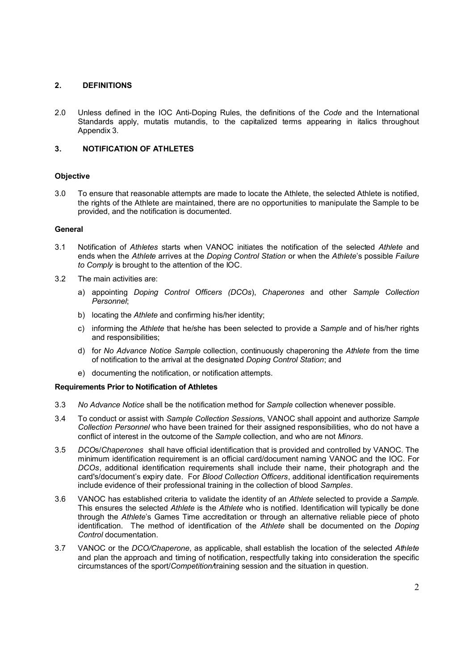# **2. DEFINITIONS**

2.0 Unless defined in the IOC Anti-Doping Rules, the definitions of the *Code* and the International Standards apply, mutatis mutandis, to the capitalized terms appearing in italics throughout Appendix 3.

# **3. NOTIFICATION OF ATHLETES**

# **Objective**

3.0 To ensure that reasonable attempts are made to locate the Athlete, the selected Athlete is notified, the rights of the Athlete are maintained, there are no opportunities to manipulate the Sample to be provided, and the notification is documented.

# **General**

- 3.1 Notification of *Athletes* starts when VANOC initiates the notification of the selected *Athlete* and ends when the *Athlete* arrives at the *Doping Control Station* or when the *Athlete*'s possible *Failure to Comply* is brought to the attention of the IOC.
- 3.2 The main activities are:
	- a) appointing *Doping Control Officers (DCOs*), *Chaperones* and other *Sample Collection Personnel*;
	- b) locating the *Athlete* and confirming his/her identity;
	- c) informing the *Athlete* that he/she has been selected to provide a *Sample* and of his/her rights and responsibilities;
	- d) for *No Advance Notice Sample* collection, continuously chaperoning the *Athlete* from the time of notification to the arrival at the designated *Doping Control Station*; and
	- e) documenting the notification, or notification attempts.

# **Requirements Prior to Notification of Athletes**

- 3.3 *No Advance Notice* shall be the notification method for *Sample* collection whenever possible.
- 3.4 To conduct or assist with *Sample Collection Session*s, VANOC shall appoint and authorize *Sample Collection Personnel* who have been trained for their assigned responsibilities, who do not have a conflict of interest in the outcome of the *Sample* collection, and who are not *Minors*.
- 3.5 *DCO*s/*Chaperones* shall have official identification that is provided and controlled by VANOC. The minimum identification requirement is an official card/document naming VANOC and the IOC. For *DCOs*, additional identification requirements shall include their name, their photograph and the card's/document's expiry date. For *Blood Collection Officers*, additional identification requirements include evidence of their professional training in the collection of blood *Samples*.
- 3.6 VANOC has established criteria to validate the identity of an *Athlete* selected to provide a *Sample.*  This ensures the selected *Athlete* is the *Athlete* who is notified. Identification will typically be done through the *Athlete*'s Games Time accreditation or through an alternative reliable piece of photo identification. The method of identification of the *Athlete* shall be documented on the *Doping Control* documentation.
- 3.7 VANOC or the *DCO/Chaperone*, as applicable, shall establish the location of the selected *Athlete* and plan the approach and timing of notification, respectfully taking into consideration the specific circumstances of the sport/*Competition/*training session and the situation in question.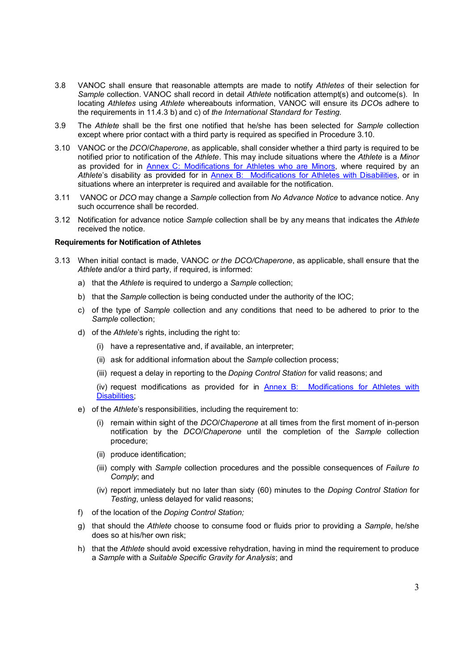- 3.8 VANOC shall ensure that reasonable attempts are made to notify *Athletes* of their selection for *Sample* collection. VANOC shall record in detail *Athlete* notification attempt(s) and outcome(s). In locating *Athletes* using *Athlete* whereabouts information, VANOC will ensure its *DCO*s adhere to the requirements in 11.4.3 b) and c) of *the International Standard for Testing.*
- 3.9 The *Athlete* shall be the first one notified that he/she has been selected for *Sample* collection except where prior contact with a third party is required as specified in Procedure 3.10.
- 3.10 VANOC or the *DCO*/*Chaperone*, as applicable, shall consider whether a third party is required to be notified prior to notification of the *Athlete*. This may include situations where the *Athlete* is a *Minor*  as provided for in **Annex C: Modifications for Athletes who are Minors**, where required by an *Athlete*'s disability as provided for in Annex B: Modifications for Athletes with Disabilities, or in situations where an interpreter is required and available for the notification.
- 3.11 VANOC or *DCO* may change a *Sample* collection from *No Advance Notice* to advance notice. Any such occurrence shall be recorded.
- 3.12 Notification for advance notice *Sample* collection shall be by any means that indicates the *Athlete* received the notice.

#### **Requirements for Notification of Athletes**

- 3.13 When initial contact is made, VANOC *or the DCO/Chaperone*, as applicable, shall ensure that the *Athlete* and/or a third party, if required, is informed:
	- a) that the *Athlete* is required to undergo a *Sample* collection;
	- b) that the *Sample* collection is being conducted under the authority of the IOC;
	- c) of the type of *Sample* collection and any conditions that need to be adhered to prior to the *Sample* collection;
	- d) of the *Athlete*'s rights, including the right to:
		- (i) have a representative and, if available, an interpreter;
		- (ii) ask for additional information about the *Sample* collection process;
		- (iii) request a delay in reporting to the *Doping Control Station* for valid reasons; and
		- (iv) request modifications as provided for in Annex B: Modifications for Athletes with Disabilities;
	- e) of the *Athlete*'s responsibilities, including the requirement to:
		- (i) remain within sight of the *DCO*/*Chaperone* at all times from the first moment of in-person notification by the *DCO*/*Chaperone* until the completion of the *Sample* collection procedure;
		- (ii) produce identification;
		- (iii) comply with *Sample* collection procedures and the possible consequences of *Failure to Comply*; and
		- (iv) report immediately but no later than sixty (60) minutes to the *Doping Control Station* for *Testing*, unless delayed for valid reasons;
	- f) of the location of the *Doping Control Station;*
	- g) that should the *Athlete* choose to consume food or fluids prior to providing a *Sample*, he/she does so at his/her own risk;
	- h) that the *Athlete* should avoid excessive rehydration, having in mind the requirement to produce a *Sample* with a *Suitable Specific Gravity for Analysis*; and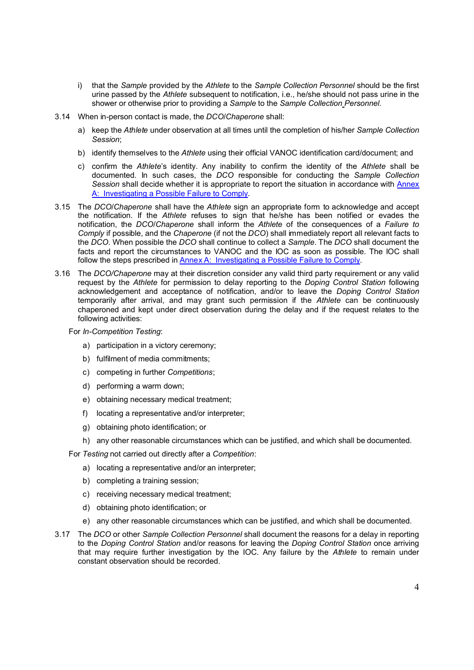- i) that the *Sample* provided by the *Athlete* to the *Sample Collection Personnel* should be the first urine passed by the *Athlete* subsequent to notification, i.e., he/she should not pass urine in the shower or otherwise prior to providing a *Sample* to the *Sample Collection Personnel*.
- 3.14 When in-person contact is made, the *DCO*/*Chaperone* shall:
	- a) keep the *Athlete* under observation at all times until the completion of his/her *Sample Collection Session*;
	- b) identify themselves to the *Athlete* using their official VANOC identification card/document; and
	- c) confirm the *Athlete*'s identity. Any inability to confirm the identity of the *Athlete* shall be documented. In such cases, the *DCO* responsible for conducting the *Sample Collection Session* shall decide whether it is appropriate to report the situation in accordance with Annex A: Investigating a Possible Failure to Comply.
- 3.15 The *DCO*/*Chaperone* shall have the *Athlete* sign an appropriate form to acknowledge and accept the notification. If the *Athlete* refuses to sign that he/she has been notified or evades the notification, the *DCO*/*Chaperone* shall inform the *Athlete* of the consequences of a *Failure to Comply* if possible, and the *Chaperone* (if not the *DCO*) shall immediately report all relevant facts to the *DCO*. When possible the *DCO* shall continue to collect a *Sample*. The *DCO* shall document the facts and report the circumstances to VANOC and the IOC as soon as possible. The IOC shall follow the steps prescribed in Annex A: Investigating a Possible Failure to Comply.
- 3.16 The *DCO/Chaperone* may at their discretion consider any valid third party requirement or any valid request by the *Athlete* for permission to delay reporting to the *Doping Control Station* following acknowledgement and acceptance of notification, and/or to leave the *Doping Control Station* temporarily after arrival, and may grant such permission if the *Athlete* can be continuously chaperoned and kept under direct observation during the delay and if the request relates to the following activities:

#### For *In-Competition Testing*:

- a) participation in a victory ceremony;
- b) fulfilment of media commitments;
- c) competing in further *Competitions*;
- d) performing a warm down;
- e) obtaining necessary medical treatment;
- f) locating a representative and/or interpreter;
- g) obtaining photo identification; or
- h) any other reasonable circumstances which can be justified, and which shall be documented.

For *Testing* not carried out directly after a *Competition*:

- a) locating a representative and/or an interpreter;
- b) completing a training session;
- c) receiving necessary medical treatment;
- d) obtaining photo identification; or
- e) any other reasonable circumstances which can be justified, and which shall be documented.
- 3.17 The *DCO* or other *Sample Collection Personnel* shall document the reasons for a delay in reporting to the *Doping Control Station* and/or reasons for leaving the *Doping Control Station* once arriving that may require further investigation by the IOC. Any failure by the *Athlete* to remain under constant observation should be recorded.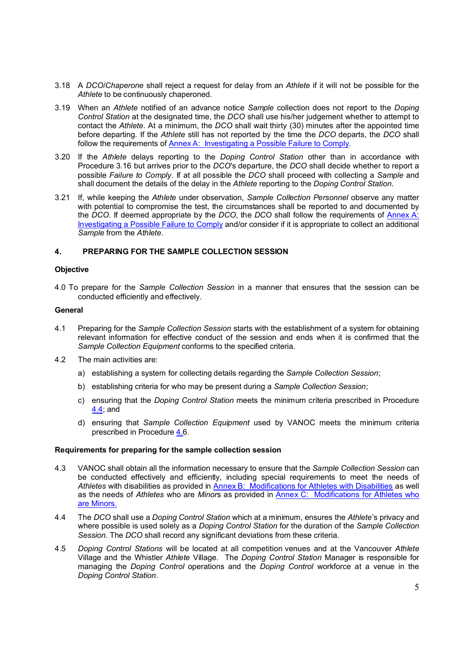- 3.18 A *DCO*/*Chaperone* shall reject a request for delay from an *Athlete* if it will not be possible for the *Athlete* to be continuously chaperoned.
- 3.19 When an *Athlete* notified of an advance notice *Sample* collection does not report to the *Doping Control Station* at the designated time, the *DCO* shall use his/her judgement whether to attempt to contact the *Athlete*. At a minimum, the *DCO* shall wait thirty (30) minutes after the appointed time before departing. If the *Athlete* still has not reported by the time the *DCO* departs, the *DCO* shall follow the requirements of Annex A: Investigating a Possible Failure to Comply.
- 3.20 If the *Athlete* delays reporting to the *Doping Control Station* other than in accordance with Procedure 3.16 but arrives prior to the *DCO*'s departure, the *DCO* shall decide whether to report a possible *Failure to Comply*. If at all possible the *DCO* shall proceed with collecting a *Sample* and shall document the details of the delay in the *Athlete* reporting to the *Doping Control Station*.
- 3.21 If, while keeping the *Athlete* under observation, *Sample Collection Personnel* observe any matter with potential to compromise the test, the circumstances shall be reported to and documented by the *DCO*. If deemed appropriate by the *DCO*, the *DCO* shall follow the requirements of Annex A: Investigating a Possible Failure to Comply and/or consider if it is appropriate to collect an additional *Sample* from the *Athlete*.

# **4. PREPARING FOR THE SAMPLE COLLECTION SESSION**

#### **Objective**

4.0 To prepare for the *Sample Collection Session* in a manner that ensures that the session can be conducted efficiently and effectively.

## **General**

- 4.1 Preparing for the *Sample Collection Session* starts with the establishment of a system for obtaining relevant information for effective conduct of the session and ends when it is confirmed that the *Sample Collection Equipment* conforms to the specified criteria.
- 4.2 The main activities are:
	- a) establishing a system for collecting details regarding the *Sample Collection Session*;
	- b) establishing criteria for who may be present during a *Sample Collection Session*;
	- c) ensuring that the *Doping Control Station* meets the minimum criteria prescribed in Procedure 4.4; and
	- d) ensuring that *Sample Collection Equipment* used by VANOC meets the minimum criteria prescribed in Procedure 4.6.

# **Requirements for preparing for the sample collection session**

- 4.3 VANOC shall obtain all the information necessary to ensure that the *Sample Collection Session* can be conducted effectively and efficiently, including special requirements to meet the needs of *Athletes* with disabilities as provided in Annex B: Modifications for Athletes with Disabilities as well as the needs of *Athletes* who are *Minor*s as provided in Annex C: Modifications for Athletes who are Minors.
- 4.4 The *DCO* shall use a *Doping Control Station* which at a minimum, ensures the *Athlete*'s privacy and where possible is used solely as a *Doping Control Station* for the duration of the *Sample Collection Session*. The *DCO* shall record any significant deviations from these criteria.
- 4.5 *Doping Control Stations* will be located at all competition venues and at the Vancouver *Athlete* Village and the Whistler *Athlete* Village. The *Doping Control Station* Manager is responsible for managing the *Doping Control* operations and the *Doping Control* workforce at a venue in the *Doping Control Station*.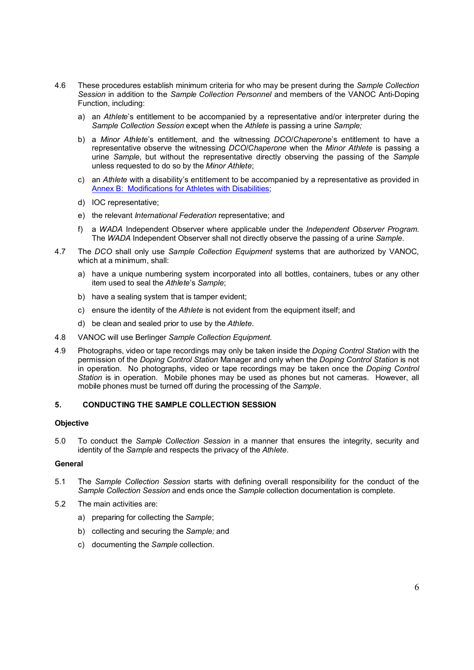- 4.6 These procedures establish minimum criteria for who may be present during the *Sample Collection Session* in addition to the *Sample Collection Personnel* and members of the VANOC Anti-Doping Function, including:
	- a) an *Athlete*'s entitlement to be accompanied by a representative and/or interpreter during the *Sample Collection Session* except when the *Athlete* is passing a urine *Sample;*
	- b) a *Minor Athlete*'s entitlement, and the witnessing *DCO*/*Chaperone*'s entitlement to have a representative observe the witnessing *DCO*/*Chaperone* when the *Minor Athlete* is passing a urine *Sample*, but without the representative directly observing the passing of the *Sample* unless requested to do so by the *Minor Athlete*;
	- c) an *Athlete* with a disability's entitlement to be accompanied by a representative as provided in Annex B: Modifications for Athletes with Disabilities;
	- d) IOC representative;
	- e) the relevant *International Federation* representative; and
	- f) a *WADA* Independent Observer where applicable under the *Independent Observer Program*. The *WADA* Independent Observer shall not directly observe the passing of a urine *Sample*.
- 4.7 The *DCO* shall only use *Sample Collection Equipment* systems that are authorized by VANOC*,*  which at a minimum, shall:
	- a) have a unique numbering system incorporated into all bottles, containers, tubes or any other item used to seal the *Athlete*'s *Sample*;
	- b) have a sealing system that is tamper evident;
	- c) ensure the identity of the *Athlete* is not evident from the equipment itself; and
	- d) be clean and sealed prior to use by the *Athlete*.
- 4.8 VANOC will use Berlinger *Sample Collection Equipment*.
- 4.9 Photographs, video or tape recordings may only be taken inside the *Doping Control Station* with the permission of the *Doping Control Station* Manager and only when the *Doping Control Station* is not in operation. No photographs, video or tape recordings may be taken once the *Doping Control Station* is in operation. Mobile phones may be used as phones but not cameras. However, all mobile phones must be turned off during the processing of the *Sample*.

# **5. CONDUCTING THE SAMPLE COLLECTION SESSION**

#### **Objective**

5.0 To conduct the *Sample Collection Session* in a manner that ensures the integrity, security and identity of the *Sample* and respects the privacy of the *Athlete*.

#### **General**

- 5.1 The *Sample Collection Session* starts with defining overall responsibility for the conduct of the *Sample Collection Session* and ends once the *Sample* collection documentation is complete.
- 5.2 The main activities are:
	- a) preparing for collecting the *Sample*;
	- b) collecting and securing the *Sample;* and
	- c) documenting the *Sample* collection.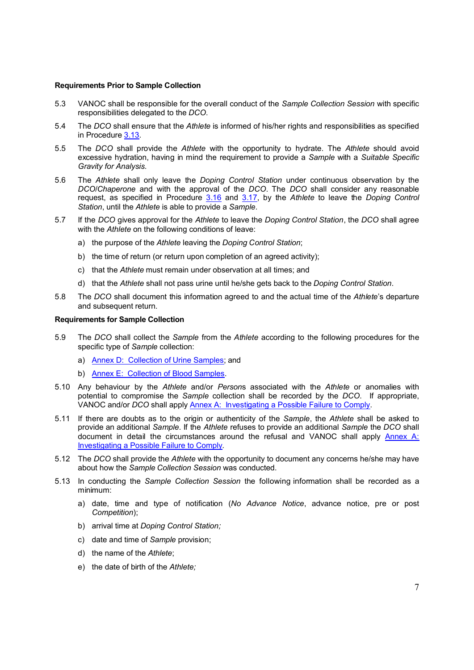#### **Requirements Prior to Sample Collection**

- 5.3 VANOC shall be responsible for the overall conduct of the *Sample Collection Session* with specific responsibilities delegated to the *DCO*.
- 5.4 The *DCO* shall ensure that the *Athlete* is informed of his/her rights and responsibilities as specified in Procedure 3.13.
- 5.5 The *DCO* shall provide the *Athlete* with the opportunity to hydrate. The *Athlete* should avoid excessive hydration, having in mind the requirement to provide a *Sample* with a *Suitable Specific Gravity for Analysis.*
- 5.6 The *Athlete* shall only leave the *Doping Control Station* under continuous observation by the *DCO*/*Chaperone* and with the approval of the *DCO*. The *DCO* shall consider any reasonable request, as specified in Procedure 3.16 and 3.17, by the *Athlete* to leave the *Doping Control Station*, until the *Athlete* is able to provide a *Sample*.
- 5.7 If the *DCO* gives approval for the *Athlete* to leave the *Doping Control Station*, the *DCO* shall agree with the *Athlete* on the following conditions of leave:
	- a) the purpose of the *Athlete* leaving the *Doping Control Station*;
	- b) the time of return (or return upon completion of an agreed activity);
	- c) that the *Athlete* must remain under observation at all times; and
	- d) that the *Athlete* shall not pass urine until he/she gets back to the *Doping Control Station*.
- 5.8 The *DCO* shall document this information agreed to and the actual time of the *Athlete*'s departure and subsequent return.

#### **Requirements for Sample Collection**

- 5.9 The *DCO* shall collect the *Sample* from the *Athlete* according to the following procedures for the specific type of *Sample* collection:
	- a) Annex D: Collection of Urine Samples; and
	- b) Annex E: Collection of Blood Samples.
- 5.10 Any behaviour by the *Athlete* and/or *Person*s associated with the *Athlete* or anomalies with potential to compromise the *Sample* collection shall be recorded by the *DCO*. If appropriate, VANOC and/or *DCO* shall apply Annex A: Investigating a Possible Failure to Comply.
- 5.11 If there are doubts as to the origin or authenticity of the *Sample*, the *Athlete* shall be asked to provide an additional *Sample*. If the *Athlete* refuses to provide an additional *Sample* the *DCO* shall document in detail the circumstances around the refusal and VANOC shall apply Annex A: Investigating a Possible Failure to Comply.
- 5.12 The *DCO* shall provide the *Athlete* with the opportunity to document any concerns he/she may have about how the *Sample Collection Session* was conducted.
- 5.13 In conducting the *Sample Collection Session* the following information shall be recorded as a minimum:
	- a) date, time and type of notification (*No Advance Notice*, advance notice, pre or post *Competition*);
	- b) arrival time at *Doping Control Station;*
	- c) date and time of *Sample* provision;
	- d) the name of the *Athlete*;
	- e) the date of birth of the *Athlete;*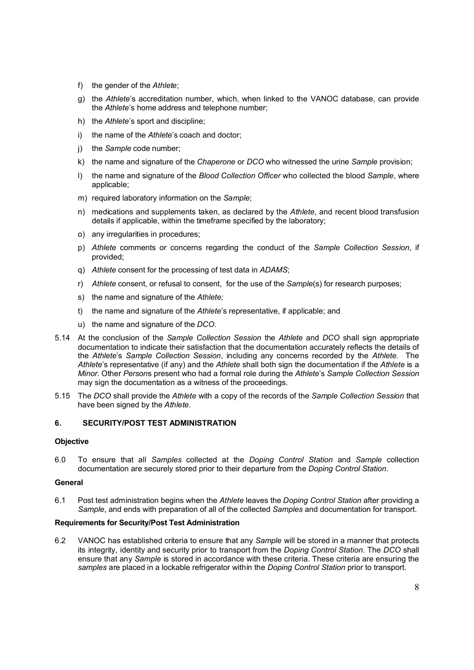- f) the gender of the *Athlete*;
- g) the *Athlete*'s accreditation number, which, when linked to the VANOC database, can provide the *Athlete*'s home address and telephone number;
- h) the *Athlete*'s sport and discipline;
- i) the name of the *Athlete*'s coach and doctor;
- j) the *Sample* code number;
- k) the name and signature of the *Chaperone* or *DCO* who witnessed the urine *Sample* provision;
- l) the name and signature of the *Blood Collection Officer* who collected the blood *Sample*, where applicable;
- m) required laboratory information on the *Sample*;
- n) medications and supplements taken, as declared by the *Athlete,* and recent blood transfusion details if applicable, within the timeframe specified by the laboratory;
- o) any irregularities in procedures;
- p) *Athlete* comments or concerns regarding the conduct of the *Sample Collection Session*, if provided;
- q) *Athlete* consent for the processing of test data in *ADAMS*;
- r) *Athlete* consent, or refusal to consent, for the use of the *Sample*(s) for research purposes;
- s) the name and signature of the *Athlete;*
- t) the name and signature of the *Athlete*'s representative, if applicable; and
- u) the name and signature of the *DCO*.
- 5.14 At the conclusion of the *Sample Collection Session* the *Athlete* and *DCO* shall sign appropriate documentation to indicate their satisfaction that the documentation accurately reflects the details of the *Athlete*'s *Sample Collection Session*, including any concerns recorded by the *Athlete.* The *Athlete*'s representative (if any) and the *Athlete* shall both sign the documentation if the *Athlete* is a *Minor.* Other *Person*s present who had a formal role during the *Athlete*'s *Sample Collection Session* may sign the documentation as a witness of the proceedings.
- 5.15 The *DCO* shall provide the *Athlete* with a copy of the records of the *Sample Collection Session* that have been signed by the *Athlete*.

# **6. SECURITY/POST TEST ADMINISTRATION**

## **Objective**

6.0 To ensure that all *Samples* collected at the *Doping Control Station* and *Sample* collection documentation are securely stored prior to their departure from the *Doping Control Station*.

## **General**

6.1 Post test administration begins when the *Athlete* leaves the *Doping Control Station* after providing a *Sample*, and ends with preparation of all of the collected *Samples* and documentation for transport.

# **Requirements for Security/Post Test Administration**

6.2 VANOC has established criteria to ensure that any *Sample* will be stored in a manner that protects its integrity, identity and security prior to transport from the *Doping Control Station*. The *DCO* shall ensure that any *Sample* is stored in accordance with these criteria. These criteria are ensuring the *samples* are placed in a lockable refrigerator within the *Doping Control Station* prior to transport.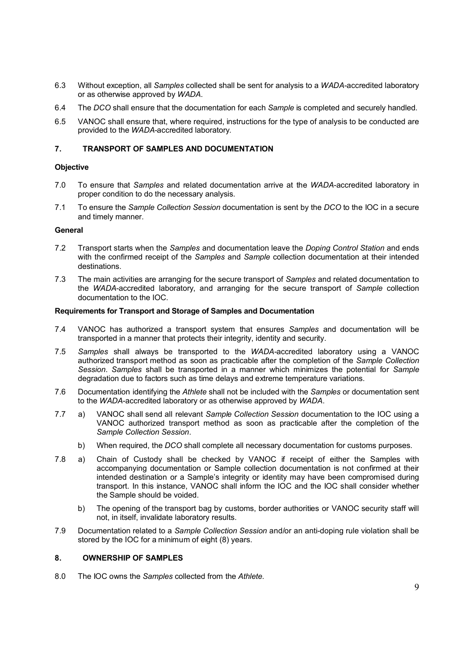- 6.3 Without exception, all *Samples* collected shall be sent for analysis to a *WADA*-accredited laboratory or as otherwise approved by *WADA*.
- 6.4 The *DCO* shall ensure that the documentation for each *Sample* is completed and securely handled.
- 6.5 VANOC shall ensure that, where required, instructions for the type of analysis to be conducted are provided to the *WADA*-accredited laboratory*.*

# **7. TRANSPORT OF SAMPLES AND DOCUMENTATION**

## **Objective**

- 7.0 To ensure that *Samples* and related documentation arrive at the *WADA*-accredited laboratory in proper condition to do the necessary analysis.
- 7.1 To ensure the *Sample Collection Session* documentation is sent by the *DCO* to the IOC in a secure and timely manner.

# **General**

- 7.2 Transport starts when the *Samples* and documentation leave the *Doping Control Station* and ends with the confirmed receipt of the *Samples* and *Sample* collection documentation at their intended destinations.
- 7.3 The main activities are arranging for the secure transport of *Samples* and related documentation to the *WADA*-accredited laboratory, and arranging for the secure transport of *Sample* collection documentation to the IOC.

# **Requirements for Transport and Storage of Samples and Documentation**

- 7.4 VANOC has authorized a transport system that ensures *Samples* and documentation will be transported in a manner that protects their integrity, identity and security.
- 7.5 *Samples* shall always be transported to the *WADA*-accredited laboratory using a VANOC authorized transport method as soon as practicable after the completion of the *Sample Collection Session*. *Samples* shall be transported in a manner which minimizes the potential for *Sample* degradation due to factors such as time delays and extreme temperature variations.
- 7.6 Documentation identifying the *Athlete* shall not be included with the *Samples* or documentation sent to the *WADA*-accredited laboratory or as otherwise approved by *WADA*.
- 7.7 a) VANOC shall send all relevant *Sample Collection Session* documentation to the IOC using a VANOC authorized transport method as soon as practicable after the completion of the *Sample Collection Session*.
	- b) When required, the *DCO* shall complete all necessary documentation for customs purposes.
- 7.8 a) Chain of Custody shall be checked by VANOC if receipt of either the Samples with accompanying documentation or Sample collection documentation is not confirmed at their intended destination or a Sample's integrity or identity may have been compromised during transport. In this instance, VANOC shall inform the IOC and the IOC shall consider whether the Sample should be voided.
	- b) The opening of the transport bag by customs, border authorities or VANOC security staff will not, in itself, invalidate laboratory results.
- 7.9 Documentation related to a *Sample Collection Session* and/or an anti-doping rule violation shall be stored by the IOC for a minimum of eight (8) years.

# **8. OWNERSHIP OF SAMPLES**

8.0 The IOC owns the *Samples* collected from the *Athlete.*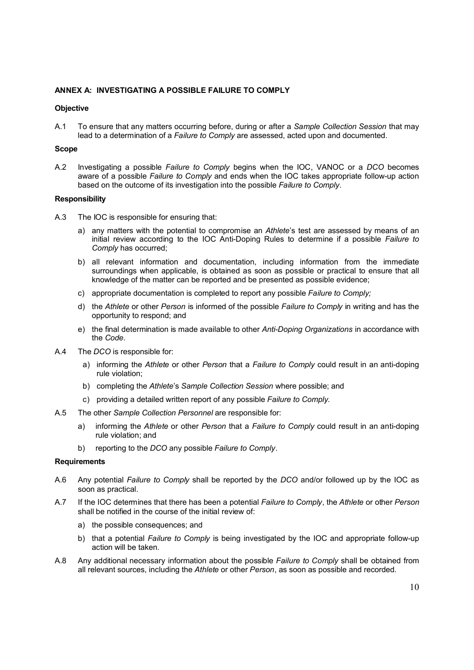# **ANNEX A: INVESTIGATING A POSSIBLE FAILURE TO COMPLY**

## **Objective**

A.1 To ensure that any matters occurring before, during or after a *Sample Collection Session* that may lead to a determination of a *Failure to Comply* are assessed, acted upon and documented.

#### **Scope**

A.2 Investigating a possible *Failure to Comply* begins when the IOC, VANOC or a *DCO* becomes aware of a possible *Failure to Comply* and ends when the IOC takes appropriate follow-up action based on the outcome of its investigation into the possible *Failure to Comply*.

#### **Responsibility**

- A.3 The IOC is responsible for ensuring that:
	- a) any matters with the potential to compromise an *Athlete*'s test are assessed by means of an initial review according to the IOC Anti-Doping Rules to determine if a possible *Failure to Comply* has occurred;
	- b) all relevant information and documentation, including information from the immediate surroundings when applicable, is obtained as soon as possible or practical to ensure that all knowledge of the matter can be reported and be presented as possible evidence;
	- c) appropriate documentation is completed to report any possible *Failure to Comply;*
	- d) the *Athlete* or other *Person* is informed of the possible *Failure to Comply* in writing and has the opportunity to respond; and
	- e) the final determination is made available to other *Anti-Doping Organizations* in accordance with the *Code*.
- A.4 The *DCO* is responsible for:
	- a) informing the *Athlete* or other *Person* that a *Failure to Comply* could result in an anti-doping rule violation;
	- b) completing the *Athlete*'s *Sample Collection Session* where possible; and
	- c) providing a detailed written report of any possible *Failure to Comply.*
- A.5 The other *Sample Collection Personnel* are responsible for:
	- a) informing the *Athlete* or other *Person* that a *Failure to Comply* could result in an anti-doping rule violation; and
	- b) reporting to the *DCO* any possible *Failure to Comply*.

#### **Requirements**

- A.6 Any potential *Failure to Comply* shall be reported by the *DCO* and/or followed up by the IOC as soon as practical.
- A.7 If the IOC determines that there has been a potential *Failure to Comply*, the *Athlete* or other *Person* shall be notified in the course of the initial review of:
	- a) the possible consequences; and
	- b) that a potential *Failure to Comply* is being investigated by the IOC and appropriate follow-up action will be taken.
- A.8 Any additional necessary information about the possible *Failure to Comply* shall be obtained from all relevant sources, including the *Athlete* or other *Person*, as soon as possible and recorded.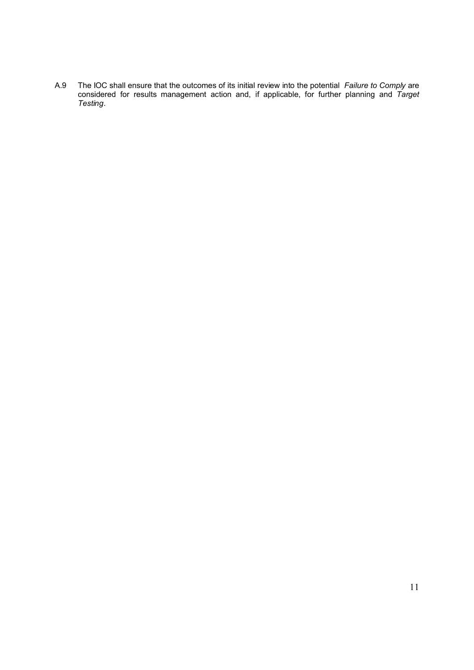A.9 The IOC shall ensure that the outcomes of its initial review into the potential *Failure to Comply* are considered for results management action and, if applicable, for further planning and *Target Testing*.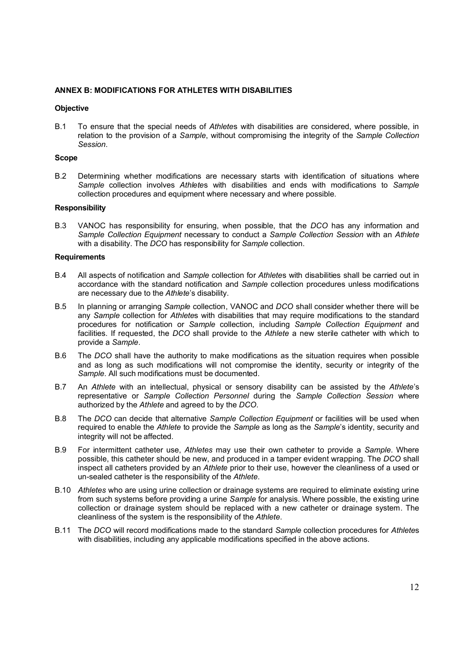# **ANNEX B: MODIFICATIONS FOR ATHLETES WITH DISABILITIES**

## **Objective**

B.1 To ensure that the special needs of *Athlete*s with disabilities are considered, where possible, in relation to the provision of a *Sample*, without compromising the integrity of the *Sample Collection Session*.

#### **Scope**

B.2 Determining whether modifications are necessary starts with identification of situations where *Sample* collection involves *Athlete*s with disabilities and ends with modifications to *Sample* collection procedures and equipment where necessary and where possible.

## **Responsibility**

B.3 VANOC has responsibility for ensuring, when possible, that the *DCO* has any information and *Sample Collection Equipment* necessary to conduct a *Sample Collection Session* with an *Athlete* with a disability. The *DCO* has responsibility for *Sample* collection.

## **Requirements**

- B.4 All aspects of notification and *Sample* collection for *Athlete*s with disabilities shall be carried out in accordance with the standard notification and *Sample* collection procedures unless modifications are necessary due to the *Athlete*'s disability.
- B.5 In planning or arranging *Sample* collection, VANOC and *DCO* shall consider whether there will be any *Sample* collection for *Athlete*s with disabilities that may require modifications to the standard procedures for notification or *Sample* collection, including *Sample Collection Equipment* and facilities. If requested, the *DCO* shall provide to the *Athlete* a new sterile catheter with which to provide a *Sample*.
- B.6 The *DCO* shall have the authority to make modifications as the situation requires when possible and as long as such modifications will not compromise the identity, security or integrity of the *Sample*. All such modifications must be documented.
- B.7 An *Athlete* with an intellectual, physical or sensory disability can be assisted by the *Athlete*'s representative or *Sample Collection Personnel* during the *Sample Collection Session* where authorized by the *Athlete* and agreed to by the *DCO*.
- B.8 The *DCO* can decide that alternative *Sample Collection Equipment* or facilities will be used when required to enable the *Athlete* to provide the *Sample* as long as the *Sample*'s identity, security and integrity will not be affected.
- B.9 For intermittent catheter use, *Athletes* may use their own catheter to provide a *Sample*. Where possible, this catheter should be new, and produced in a tamper evident wrapping. The *DCO* shall inspect all catheters provided by an *Athlete* prior to their use, however the cleanliness of a used or un-sealed catheter is the responsibility of the *Athlete*.
- B.10 *Athletes* who are using urine collection or drainage systems are required to eliminate existing urine from such systems before providing a urine *Sample* for analysis. Where possible, the existing urine collection or drainage system should be replaced with a new catheter or drainage system. The cleanliness of the system is the responsibility of the *Athlete*.
- B.11 The *DCO* will record modifications made to the standard *Sample* collection procedures for *Athlete*s with disabilities, including any applicable modifications specified in the above actions.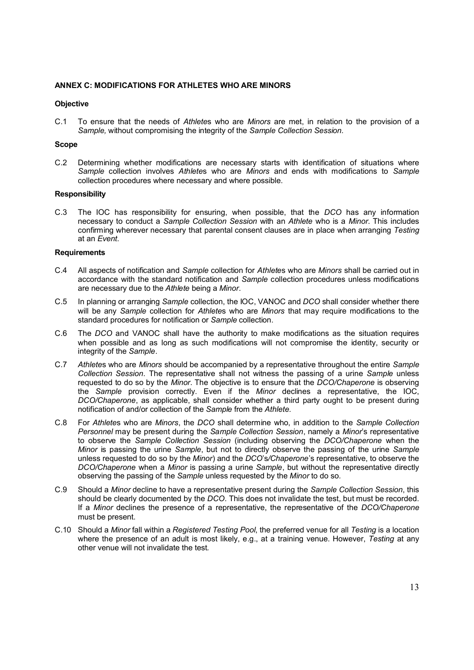## **ANNEX C: MODIFICATIONS FOR ATHLETES WHO ARE MINORS**

## **Objective**

C.1 To ensure that the needs of *Athlete*s who are *Minors* are met, in relation to the provision of a *Sample,* without compromising the integrity of the *Sample Collection Session.*

# **Scope**

C.2 Determining whether modifications are necessary starts with identification of situations where *Sample* collection involves *Athlete*s who are *Minors* and ends with modifications to *Sample* collection procedures where necessary and where possible.

#### **Responsibility**

C.3 The IOC has responsibility for ensuring, when possible, that the *DCO* has any information necessary to conduct a *Sample Collection Session* with an *Athlete* who is a *Minor*. This includes confirming wherever necessary that parental consent clauses are in place when arranging *Testing* at an *Event*.

## **Requirements**

- C.4 All aspects of notification and *Sample* collection for *Athlete*s who are *Minors* shall be carried out in accordance with the standard notification and *Sample* collection procedures unless modifications are necessary due to the *Athlete* being a *Minor*.
- C.5 In planning or arranging *Sample* collection, the IOC, VANOC and *DCO* shall consider whether there will be any *Sample* collection for *Athlete*s who are *Minors* that may require modifications to the standard procedures for notification or *Sample* collection.
- C.6 The *DCO* and VANOC shall have the authority to make modifications as the situation requires when possible and as long as such modifications will not compromise the identity, security or integrity of the *Sample*.
- C.7 *Athlete*s who are *Minors* should be accompanied by a representative throughout the entire *Sample Collection Session*. The representative shall not witness the passing of a urine *Sample* unless requested to do so by the *Minor*. The objective is to ensure that the *DCO/Chaperone* is observing the *Sample* provision correctly. Even if the *Minor* declines a representative, the IOC, *DCO/Chaperone*, as applicable, shall consider whether a third party ought to be present during notification of and/or collection of the *Sample* from the *Athlete.*
- C.8 For *Athlete*s who are *Minors*, the *DCO* shall determine who, in addition to the *Sample Collection Personnel* may be present during the *Sample Collection Session*, namely a *Minor*'s representative to observe the *Sample Collection Session* (including observing the *DCO/Chaperone* when the *Minor* is passing the urine *Sample*, but not to directly observe the passing of the urine *Sample* unless requested to do so by the *Minor*) and the *DCO*'s*/Chaperone*'s representative, to observe the *DCO/Chaperone* when a *Minor* is passing a urine *Sample*, but without the representative directly observing the passing of the *Sample* unless requested by the *Minor* to do so.
- C.9 Should a *Minor* decline to have a representative present during the *Sample Collection Session*, this should be clearly documented by the *DCO*. This does not invalidate the test, but must be recorded. If a *Minor* declines the presence of a representative, the representative of the *DCO/Chaperone* must be present.
- C.10 Should a *Minor* fall within a *Registered Testing Pool*, the preferred venue for all *Testing* is a location where the presence of an adult is most likely, e.g., at a training venue. However, *Testing* at any other venue will not invalidate the test*.*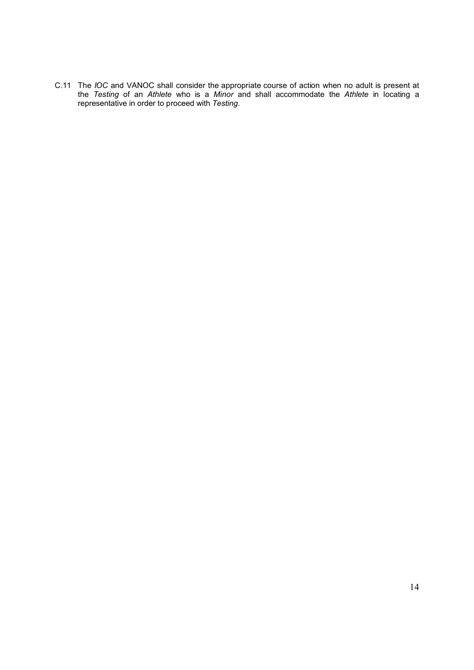C.11 The *IOC* and VANOC shall consider the appropriate course of action when no adult is present at the *Testing* of an *Athlete* who is a *Minor* and shall accommodate the *Athlete* in locating a representative in order to proceed with *Testing*.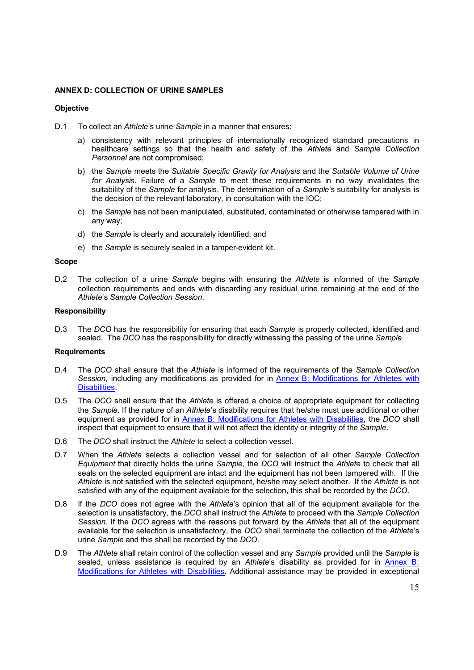# **ANNEX D: COLLECTION OF URINE SAMPLES**

#### **Objective**

- D.1 To collect an *Athlete*'s urine *Sample* in a manner that ensures:
	- a) consistency with relevant principles of internationally recognized standard precautions in healthcare settings so that the health and safety of the *Athlete* and *Sample Collection Personnel* are not compromised;
	- b) the *Sample* meets the *Suitable Specific Gravity for Analysis* and the *Suitable Volume of Urine for Analysis*. Failure of a *Sample* to meet these requirements in no way invalidates the suitability of the *Sample* for analysis. The determination of a *Sample*'s suitability for analysis is the decision of the relevant laboratory, in consultation with the IOC;
	- c) the *Sample* has not been manipulated, substituted, contaminated or otherwise tampered with in any way;
	- d) the *Sample* is clearly and accurately identified; and
	- e) the *Sample* is securely sealed in a tamper-evident kit.

#### **Scope**

D.2 The collection of a urine *Sample* begins with ensuring the *Athlete* is informed of the *Sample*  collection requirements and ends with discarding any residual urine remaining at the end of the *Athlete*'s *Sample Collection Session*.

## **Responsibility**

D.3 The *DCO* has the responsibility for ensuring that each *Sample* is properly collected, identified and sealed. The *DCO* has the responsibility for directly witnessing the passing of the urine *Sample*.

# **Requirements**

- D.4 The *DCO* shall ensure that the *Athlete* is informed of the requirements of the *Sample Collection Session*, including any modifications as provided for in Annex B: Modifications for Athletes with Disabilities.
- D.5 The *DCO* shall ensure that the *Athlete* is offered a choice of appropriate equipment for collecting the *Sample*. If the nature of an *Athlete*'s disability requires that he/she must use additional or other equipment as provided for in Annex B: Modifications for Athletes with Disabilities, the *DCO* shall inspect that equipment to ensure that it will not affect the identity or integrity of the *Sample*.
- D.6 The *DCO* shall instruct the *Athlete* to select a collection vessel.
- D.7 When the *Athlete* selects a collection vessel and for selection of all other *Sample Collection Equipment* that directly holds the urine *Sample*, the *DCO* will instruct the *Athlete* to check that all seals on the selected equipment are intact and the equipment has not been tampered with. If the *Athlete* is not satisfied with the selected equipment, he/she may select another. If the *Athlete* is not satisfied with any of the equipment available for the selection, this shall be recorded by the *DCO*.
- D.8 If the *DCO* does not agree with the *Athlete*'s opinion that all of the equipment available for the selection is unsatisfactory, the *DCO* shall instruct the *Athlete* to proceed with the *Sample Collection Session*. If the *DCO* agrees with the reasons put forward by the *Athlete* that all of the equipment available for the selection is unsatisfactory, the *DCO* shall terminate the collection of the *Athlete*'s urine *Sample* and this shall be recorded by the *DCO*.
- D.9 The *Athlete* shall retain control of the collection vessel and any *Sample* provided until the *Sample* is sealed, unless assistance is required by an *Athlete*'s disability as provided for in Annex B: Modifications for Athletes with Disabilities. Additional assistance may be provided in exceptional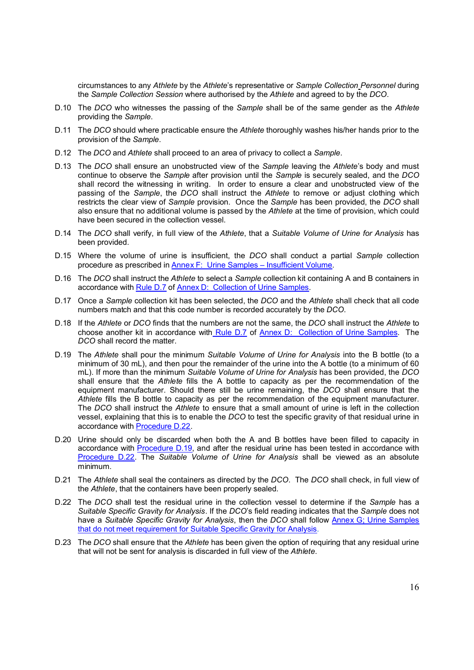circumstances to any *Athlete* by the *Athlete*'s representative or *Sample Collection Personnel* during the *Sample Collection Session* where authorised by the *Athlete* and agreed to by the *DCO*.

- D.10 The *DCO* who witnesses the passing of the *Sample* shall be of the same gender as the *Athlete* providing the *Sample*.
- D.11 The *DCO* should where practicable ensure the *Athlete* thoroughly washes his/her hands prior to the provision of the *Sample*.
- D.12 The *DCO* and *Athlete* shall proceed to an area of privacy to collect a *Sample*.
- D.13 The *DCO* shall ensure an unobstructed view of the *Sample* leaving the *Athlete*'s body and must continue to observe the *Sample* after provision until the *Sample* is securely sealed, and the *DCO* shall record the witnessing in writing. In order to ensure a clear and unobstructed view of the passing of the *Sample*, the *DCO* shall instruct the *Athlete* to remove or adjust clothing which restricts the clear view of *Sample* provision. Once the *Sample* has been provided, the *DCO* shall also ensure that no additional volume is passed by the *Athlete* at the time of provision, which could have been secured in the collection vessel.
- D.14 The *DCO* shall verify, in full view of the *Athlete*, that a *Suitable Volume of Urine for Analysis* has been provided.
- D.15 Where the volume of urine is insufficient, the *DCO* shall conduct a partial *Sample* collection procedure as prescribed in Annex F: Urine Samples – Insufficient Volume.
- D.16 The *DCO* shall instruct the *Athlete* to select a *Sample* collection kit containing A and B containers in accordance with Rule D.7 of Annex D: Collection of Urine Samples.
- D.17 Once a *Sample* collection kit has been selected, the *DCO* and the *Athlete* shall check that all code numbers match and that this code number is recorded accurately by the *DCO*.
- D.18 If the *Athlete* or *DCO* finds that the numbers are not the same, the *DCO* shall instruct the *Athlete* to choose another kit in accordance with Rule D.7 of Annex D: Collection of Urine Samples. The *DCO* shall record the matter.
- D.19 The *Athlete* shall pour the minimum *Suitable Volume of Urine for Analysis* into the B bottle (to a minimum of 30 mL), and then pour the remainder of the urine into the A bottle (to a minimum of 60 mL). If more than the minimum *Suitable Volume of Urine for Analysis* has been provided, the *DCO* shall ensure that the *Athlete* fills the A bottle to capacity as per the recommendation of the equipment manufacturer. Should there still be urine remaining, the *DCO* shall ensure that the *Athlete* fills the B bottle to capacity as per the recommendation of the equipment manufacturer. The *DCO* shall instruct the *Athlete* to ensure that a small amount of urine is left in the collection vessel, explaining that this is to enable the *DCO* to test the specific gravity of that residual urine in accordance with Procedure D.22.
- D.20 Urine should only be discarded when both the A and B bottles have been filled to capacity in accordance with Procedure D.19, and after the residual urine has been tested in accordance with Procedure D.22. The *Suitable Volume of Urine for Analysis* shall be viewed as an absolute minimum.
- D.21 The *Athlete* shall seal the containers as directed by the *DCO*. The *DCO* shall check, in full view of the *Athlete*, that the containers have been properly sealed.
- D.22 The *DCO* shall test the residual urine in the collection vessel to determine if the *Sample* has a *Suitable Specific Gravity for Analysis*. If the *DCO*'s field reading indicates that the *Sample* does not have a *Suitable Specific Gravity for Analysis*, then the *DCO* shall follow Annex G; Urine Samples that do not meet requirement for Suitable Specific Gravity for Analysis.
- D.23 The *DCO* shall ensure that the *Athlete* has been given the option of requiring that any residual urine that will not be sent for analysis is discarded in full view of the *Athlete*.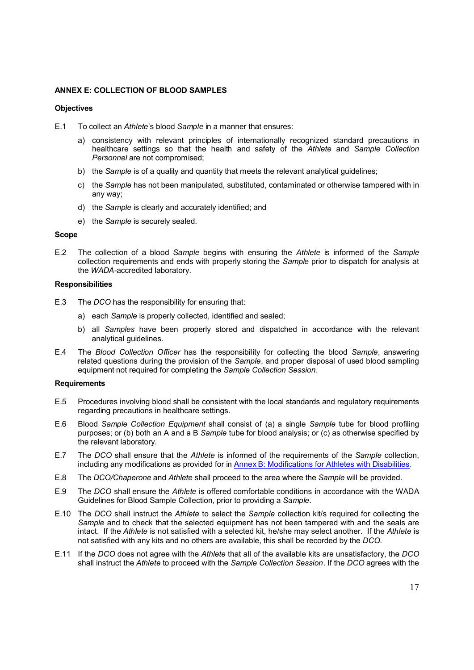# **ANNEX E: COLLECTION OF BLOOD SAMPLES**

#### **Objectives**

- E.1 To collect an *Athlete*'s blood *Sample* in a manner that ensures:
	- a) consistency with relevant principles of internationally recognized standard precautions in healthcare settings so that the health and safety of the *Athlete* and *Sample Collection Personnel* are not compromised;
	- b) the *Sample* is of a quality and quantity that meets the relevant analytical guidelines;
	- c) the *Sample* has not been manipulated, substituted, contaminated or otherwise tampered with in any way;
	- d) the *Sample* is clearly and accurately identified; and
	- e) the *Sample* is securely sealed.

### **Scope**

E.2 The collection of a blood *Sample* begins with ensuring the *Athlete* is informed of the *Sample*  collection requirements and ends with properly storing the *Sample* prior to dispatch for analysis at the *WADA-*accredited laboratory.

#### **Responsibilities**

- E.3 The *DCO* has the responsibility for ensuring that:
	- a) each *Sample* is properly collected, identified and sealed;
	- b) all *Samples* have been properly stored and dispatched in accordance with the relevant analytical guidelines.
- E.4 The *Blood Collection Officer* has the responsibility for collecting the blood *Sample*, answering related questions during the provision of the *Sample*, and proper disposal of used blood sampling equipment not required for completing the *Sample Collection Session*.

#### **Requirements**

- E.5 Procedures involving blood shall be consistent with the local standards and regulatory requirements regarding precautions in healthcare settings.
- E.6 Blood *Sample Collection Equipment* shall consist of (a) a single *Sample* tube for blood profiling purposes; or (b) both an A and a B *Sample* tube for blood analysis; or (c) as otherwise specified by the relevant laboratory.
- E.7 The *DCO* shall ensure that the *Athlete* is informed of the requirements of the *Sample* collection, including any modifications as provided for in Annex B: Modifications for Athletes with Disabilities.
- E.8 The *DCO/Chaperone* and *Athlete* shall proceed to the area where the *Sample* will be provided.
- E.9 The *DCO* shall ensure the *Athlete* is offered comfortable conditions in accordance with the WADA Guidelines for Blood Sample Collection, prior to providing a *Sample*.
- E.10 The *DCO* shall instruct the *Athlete* to select the *Sample* collection kit/s required for collecting the *Sample* and to check that the selected equipment has not been tampered with and the seals are intact. If the *Athlete* is not satisfied with a selected kit, he/she may select another. If the *Athlete* is not satisfied with any kits and no others are available, this shall be recorded by the *DCO.*
- E.11 If the *DCO* does not agree with the *Athlete* that all of the available kits are unsatisfactory, the *DCO* shall instruct the *Athlete* to proceed with the *Sample Collection Session*. If the *DCO* agrees with the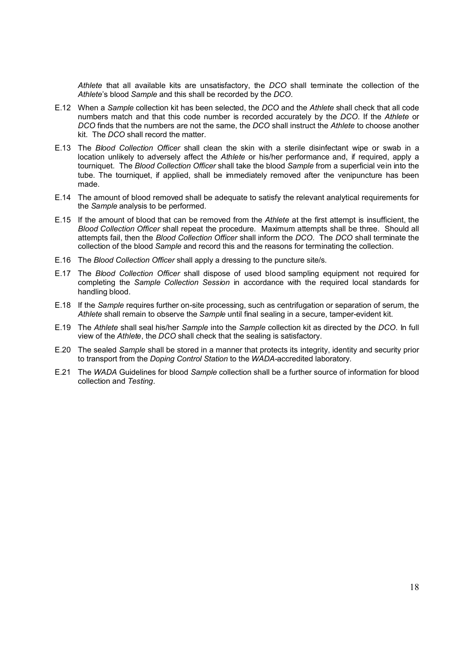*Athlete* that all available kits are unsatisfactory, the *DCO* shall terminate the collection of the *Athlete*'s blood *Sample* and this shall be recorded by the *DCO*.

- E.12 When a *Sample* collection kit has been selected, the *DCO* and the *Athlete* shall check that all code numbers match and that this code number is recorded accurately by the *DCO*. If the *Athlete* or *DCO* finds that the numbers are not the same, the *DCO* shall instruct the *Athlete* to choose another kit. The *DCO* shall record the matter.
- E.13 The *Blood Collection Officer* shall clean the skin with a sterile disinfectant wipe or swab in a location unlikely to adversely affect the *Athlete* or his/her performance and, if required, apply a tourniquet. The *Blood Collection Officer* shall take the blood *Sample* from a superficial vein into the tube. The tourniquet, if applied, shall be immediately removed after the venipuncture has been made.
- E.14 The amount of blood removed shall be adequate to satisfy the relevant analytical requirements for the *Sample* analysis to be performed.
- E.15 If the amount of blood that can be removed from the *Athlete* at the first attempt is insufficient, the *Blood Collection Officer* shall repeat the procedure. Maximum attempts shall be three. Should all attempts fail, then the *Blood Collection Officer* shall inform the *DCO*. The *DCO* shall terminate the collection of the blood *Sample* and record this and the reasons for terminating the collection.
- E.16 The *Blood Collection Officer* shall apply a dressing to the puncture site/s.
- E.17 The *Blood Collection Officer* shall dispose of used blood sampling equipment not required for completing the *Sample Collection Session* in accordance with the required local standards for handling blood.
- E.18 If the *Sample* requires further on-site processing, such as centrifugation or separation of serum, the *Athlete* shall remain to observe the *Sample* until final sealing in a secure, tamper-evident kit.
- E.19 The *Athlete* shall seal his/her *Sample* into the *Sample* collection kit as directed by the *DCO*. In full view of the *Athlete*, the *DCO* shall check that the sealing is satisfactory.
- E.20 The sealed *Sample* shall be stored in a manner that protects its integrity, identity and security prior to transport from the *Doping Control Station* to the *WADA*-accredited laboratory*.*
- E.21 The *WADA* Guidelines for blood *Sample* collection shall be a further source of information for blood collection and *Testing*.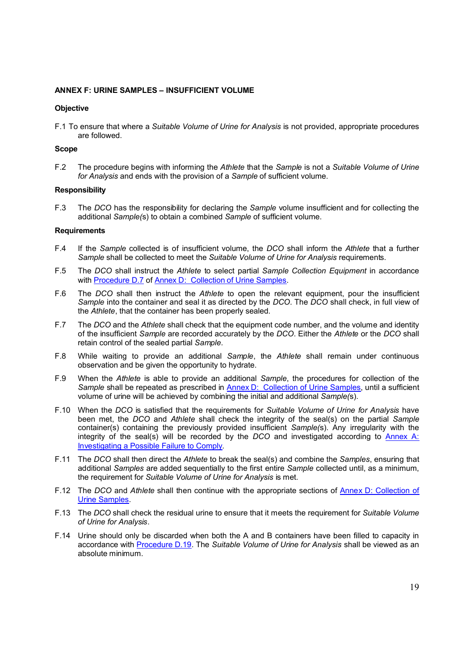# **ANNEX F: URINE SAMPLES – INSUFFICIENT VOLUME**

## **Objective**

F.1 To ensure that where a *Suitable Volume of Urine for Analysis* is not provided, appropriate procedures are followed.

## **Scope**

F.2 The procedure begins with informing the *Athlete* that the *Sample* is not a *Suitable Volume of Urine for Analysis* and ends with the provision of a *Sample* of sufficient volume.

## **Responsibility**

F.3 The *DCO* has the responsibility for declaring the *Sample* volume insufficient and for collecting the additional *Sample(*s) to obtain a combined *Sample* of sufficient volume.

# **Requirements**

- F.4 If the *Sample* collected is of insufficient volume, the *DCO* shall inform the *Athlete* that a further *Sample* shall be collected to meet the *Suitable Volume of Urine for Analysis* requirements.
- F.5 The *DCO* shall instruct the *Athlete* to select partial *Sample Collection Equipment* in accordance with **Procedure D.7** of **Annex D: Collection of Urine Samples**.
- F.6 The *DCO* shall then instruct the *Athlete* to open the relevant equipment, pour the insufficient *Sample* into the container and seal it as directed by the *DCO*. The *DCO* shall check, in full view of the *Athlete*, that the container has been properly sealed.
- F.7 The *DCO* and the *Athlete* shall check that the equipment code number, and the volume and identity of the insufficient *Sample* are recorded accurately by the *DCO*. Either the *Athlete* or the *DCO* shall retain control of the sealed partial *Sample*.
- F.8 While waiting to provide an additional *Sample*, the *Athlete* shall remain under continuous observation and be given the opportunity to hydrate.
- F.9 When the *Athlete* is able to provide an additional *Sample*, the procedures for collection of the *Sample* shall be repeated as prescribed in **Annex D:** Collection of Urine Samples, until a sufficient volume of urine will be achieved by combining the initial and additional *Sample(*s).
- F.10 When the *DCO* is satisfied that the requirements for *Suitable Volume of Urine for Analysis* have been met, the *DCO* and *Athlete* shall check the integrity of the seal(s) on the partial *Sample* container(s) containing the previously provided insufficient *Sample(*s). Any irregularity with the integrity of the seal(s) will be recorded by the *DCO* and investigated according to **Annex A:** Investigating a Possible Failure to Comply.
- F.11 The *DCO* shall then direct the *Athlete* to break the seal(s) and combine the *Samples*, ensuring that additional *Samples* are added sequentially to the first entire *Sample* collected until, as a minimum, the requirement for *Suitable Volume of Urine for Analysis* is met.
- F.12 The *DCO* and *Athlete* shall then continue with the appropriate sections of Annex D: Collection of Urine Samples.
- F.13 The *DCO* shall check the residual urine to ensure that it meets the requirement for *Suitable Volume of Urine for Analysis*.
- F.14 Urine should only be discarded when both the A and B containers have been filled to capacity in accordance with Procedure D.19. The *Suitable Volume of Urine for Analysis* shall be viewed as an absolute minimum.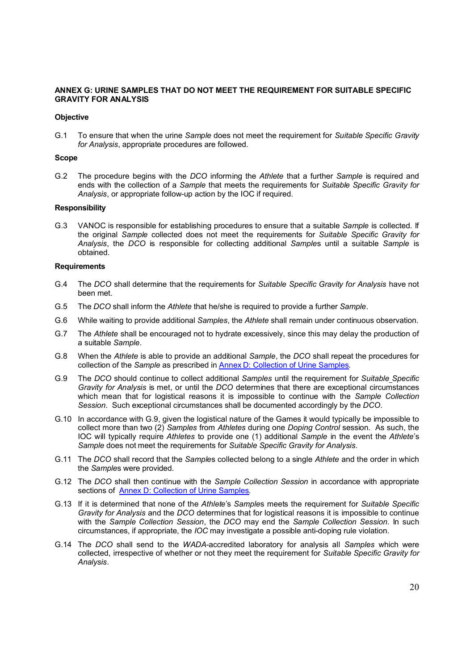# **ANNEX G: URINE SAMPLES THAT DO NOT MEET THE REQUIREMENT FOR SUITABLE SPECIFIC GRAVITY FOR ANALYSIS**

## **Objective**

G.1 To ensure that when the urine *Sample* does not meet the requirement for *Suitable Specific Gravity for Analysis*, appropriate procedures are followed.

#### **Scope**

G.2 The procedure begins with the *DCO* informing the *Athlete* that a further *Sample* is required and ends with the collection of a *Sample* that meets the requirements for *Suitable Specific Gravity for Analysis*, or appropriate follow-up action by the IOC if required.

#### **Responsibility**

G.3 VANOC is responsible for establishing procedures to ensure that a suitable *Sample* is collected. If the original *Sample* collected does not meet the requirements for *Suitable Specific Gravity for Analysis*, the *DCO* is responsible for collecting additional *Sample*s until a suitable *Sample* is obtained.

# **Requirements**

- G.4 The *DCO* shall determine that the requirements for *Suitable Specific Gravity for Analysis* have not been met.
- G.5 The *DCO* shall inform the *Athlete* that he/she is required to provide a further *Sample*.
- G.6 While waiting to provide additional *Samples*, the *Athlete* shall remain under continuous observation.
- G.7 The *Athlete* shall be encouraged not to hydrate excessively, since this may delay the production of a suitable *Sample*.
- G.8 When the *Athlete* is able to provide an additional *Sample*, the *DCO* shall repeat the procedures for collection of the *Sample* as prescribed in Annex D: Collection of Urine Samples*.*
- G.9 The *DCO* should continue to collect additional *Samples* until the requirement for *Suitable Specific Gravity for Analysis* is met, or until the *DCO* determines that there are exceptional circumstances which mean that for logistical reasons it is impossible to continue with the *Sample Collection Session*. Such exceptional circumstances shall be documented accordingly by the *DCO*.
- G.10 In accordance with G.9, given the logistical nature of the Games it would typically be impossible to collect more than two (2) *Samples* from *Athletes* during one *Doping Control* session. As such, the IOC will typically require *Athletes* to provide one (1) additional *Sample* in the event the *Athlete*'s *Sample* does not meet the requirements for *Suitable Specific Gravity for Analysis*.
- G.11 The *DCO* shall record that the *Sample*s collected belong to a single *Athlete* and the order in which the *Sample*s were provided.
- G.12 The *DCO* shall then continue with the *Sample Collection Session* in accordance with appropriate sections of Annex D: Collection of Urine Samples*.*
- G.13 If it is determined that none of the *Athlete*'s *Sample*s meets the requirement for *Suitable Specific Gravity for Analysis* and the *DCO* determines that for logistical reasons it is impossible to continue with the *Sample Collection Session*, the *DCO* may end the *Sample Collection Session*. In such circumstances, if appropriate, the *IOC* may investigate a possible anti-doping rule violation.
- G.14 The *DCO* shall send to the *WADA*-accredited laboratory for analysis all *Samples* which were collected, irrespective of whether or not they meet the requirement for *Suitable Specific Gravity for Analysis*.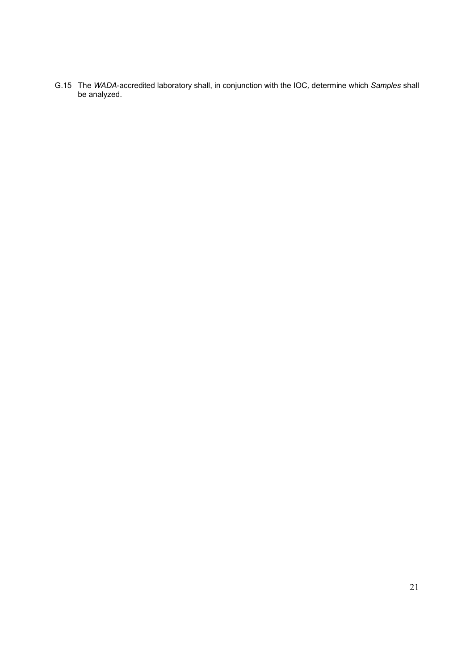G.15 The *WADA*-accredited laboratory shall, in conjunction with the IOC*,* determine which *Samples* shall be analyzed.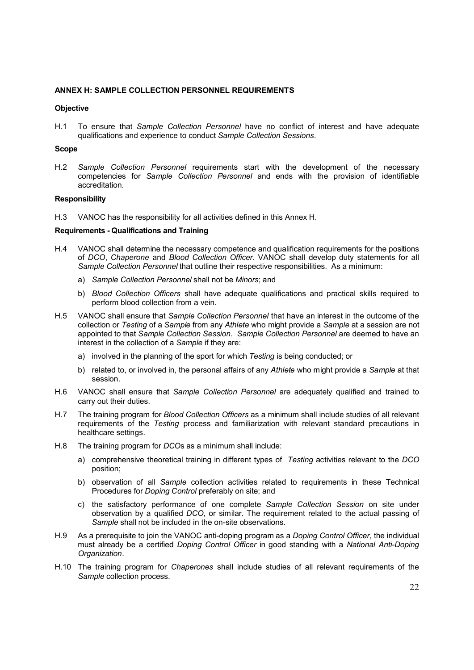## **ANNEX H: SAMPLE COLLECTION PERSONNEL REQUIREMENTS**

#### **Objective**

H.1 To ensure that *Sample Collection Personnel* have no conflict of interest and have adequate qualifications and experience to conduct *Sample Collection Sessions*.

#### **Scope**

H.2 *Sample Collection Personnel* requirements start with the development of the necessary competencies for *Sample Collection Personnel* and ends with the provision of identifiable accreditation.

## **Responsibility**

H.3 VANOC has the responsibility for all activities defined in this Annex H.

#### **Requirements - Qualifications and Training**

- H.4 VANOC shall determine the necessary competence and qualification requirements for the positions of *DCO*, *Chaperone* and *Blood Collection Officer*. VANOC shall develop duty statements for all *Sample Collection Personnel* that outline their respective responsibilities. As a minimum:
	- a) *Sample Collection Personnel* shall not be *Minors*; and
	- b) *Blood Collection Officers* shall have adequate qualifications and practical skills required to perform blood collection from a vein.
- H.5 VANOC shall ensure that *Sample Collection Personnel* that have an interest in the outcome of the collection or *Testing* of a *Sample* from any *Athlete* who might provide a *Sample* at a session are not appointed to that *Sample Collection Session*. *Sample Collection Personnel* are deemed to have an interest in the collection of a *Sample* if they are:
	- a) involved in the planning of the sport for which *Testing* is being conducted; or
	- b) related to, or involved in, the personal affairs of any *Athlete* who might provide a *Sample* at that session.
- H.6 VANOC shall ensure that *Sample Collection Personnel* are adequately qualified and trained to carry out their duties.
- H.7 The training program for *Blood Collection Officers* as a minimum shall include studies of all relevant requirements of the *Testing* process and familiarization with relevant standard precautions in healthcare settings.
- H.8 The training program for *DCO*s as a minimum shall include:
	- a) comprehensive theoretical training in different types of *Testing* activities relevant to the *DCO* position;
	- b) observation of all *Sample* collection activities related to requirements in these Technical Procedures for *Doping Control* preferably on site; and
	- c) the satisfactory performance of one complete *Sample Collection Session* on site under observation by a qualified *DCO,* or similar. The requirement related to the actual passing of *Sample* shall not be included in the on-site observations.
- H.9 As a prerequisite to join the VANOC anti-doping program as a *Doping Control Officer*, the individual must already be a certified *Doping Control Officer* in good standing with a *National Anti-Doping Organization*.
- H.10 The training program for *Chaperones* shall include studies of all relevant requirements of the *Sample* collection process.